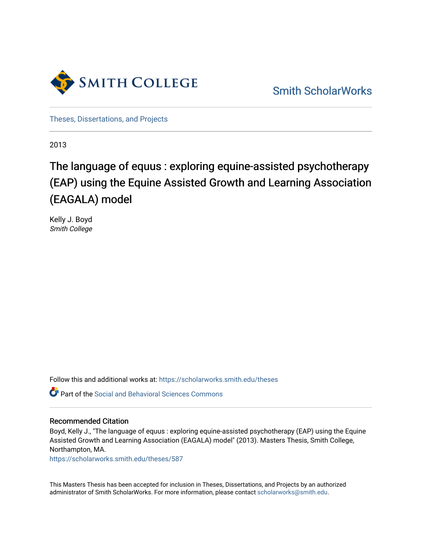

[Smith ScholarWorks](https://scholarworks.smith.edu/) 

[Theses, Dissertations, and Projects](https://scholarworks.smith.edu/theses) 

2013

# The language of equus : exploring equine-assisted psychotherapy (EAP) using the Equine Assisted Growth and Learning Association (EAGALA) model

Kelly J. Boyd Smith College

Follow this and additional works at: [https://scholarworks.smith.edu/theses](https://scholarworks.smith.edu/theses?utm_source=scholarworks.smith.edu%2Ftheses%2F587&utm_medium=PDF&utm_campaign=PDFCoverPages) 

Part of the [Social and Behavioral Sciences Commons](http://network.bepress.com/hgg/discipline/316?utm_source=scholarworks.smith.edu%2Ftheses%2F587&utm_medium=PDF&utm_campaign=PDFCoverPages) 

# Recommended Citation

Boyd, Kelly J., "The language of equus : exploring equine-assisted psychotherapy (EAP) using the Equine Assisted Growth and Learning Association (EAGALA) model" (2013). Masters Thesis, Smith College, Northampton, MA.

[https://scholarworks.smith.edu/theses/587](https://scholarworks.smith.edu/theses/587?utm_source=scholarworks.smith.edu%2Ftheses%2F587&utm_medium=PDF&utm_campaign=PDFCoverPages) 

This Masters Thesis has been accepted for inclusion in Theses, Dissertations, and Projects by an authorized administrator of Smith ScholarWorks. For more information, please contact [scholarworks@smith.edu](mailto:scholarworks@smith.edu).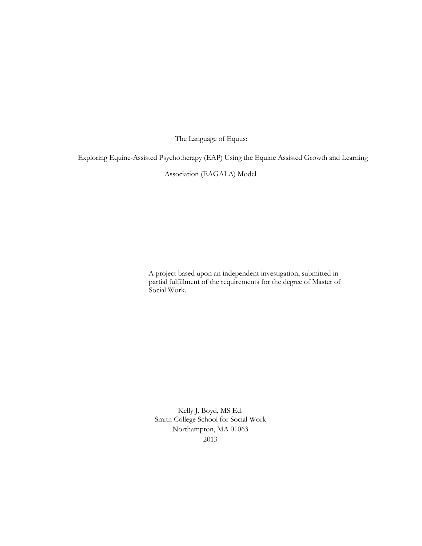The Language of Equus:

Exploring Equine-Assisted Psychotherapy (EAP) Using the Equine Assisted Growth and Learning

Association (EAGALA) Model

A project based upon an independent investigation, submitted in partial fulfillment of the requirements for the degree of Master of Social Work.

Kelly J. Boyd, MS Ed. Smith College School for Social Work Northampton, MA 01063 2013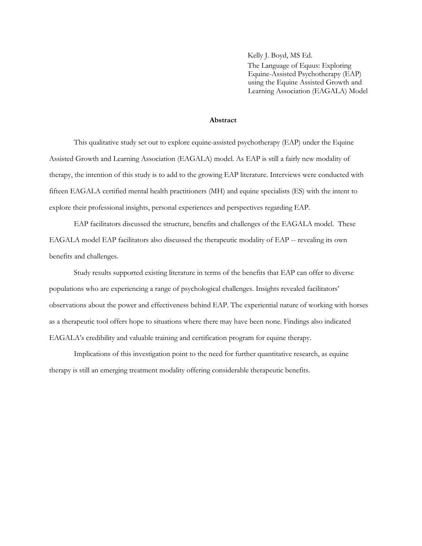Kelly J. Boyd, MS Ed. The Language of Equus: Exploring Equine-Assisted Psychotherapy (EAP) using the Equine Assisted Growth and Learning Association (EAGALA) Model

#### **Abstract**

This qualitative study set out to explore equine-assisted psychotherapy (EAP) under the Equine Assisted Growth and Learning Association (EAGALA) model. As EAP is still a fairly new modality of therapy, the intention of this study is to add to the growing EAP literature. Interviews were conducted with fifteen EAGALA certified mental health practitioners (MH) and equine specialists (ES) with the intent to explore their professional insights, personal experiences and perspectives regarding EAP.

EAP facilitators discussed the structure, benefits and challenges of the EAGALA model. These EAGALA model EAP facilitators also discussed the therapeutic modality of EAP -- revealing its own benefits and challenges.

Study results supported existing literature in terms of the benefits that EAP can offer to diverse populations who are experiencing a range of psychological challenges. Insights revealed facilitators' observations about the power and effectiveness behind EAP. The experiential nature of working with horses as a therapeutic tool offers hope to situations where there may have been none. Findings also indicated EAGALA's credibility and valuable training and certification program for equine therapy.

Implications of this investigation point to the need for further quantitative research, as equine therapy is still an emerging treatment modality offering considerable therapeutic benefits.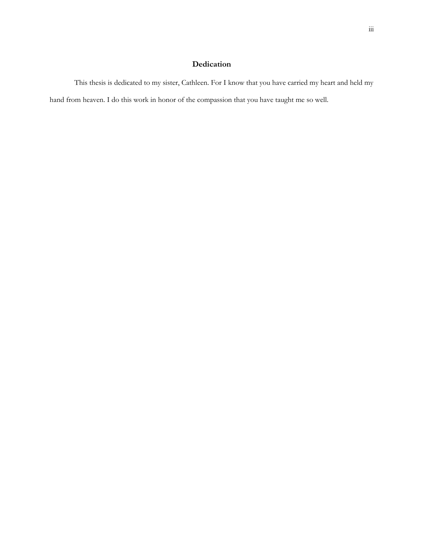# **Dedication**

<span id="page-3-0"></span>This thesis is dedicated to my sister, Cathleen. For I know that you have carried my heart and held my hand from heaven. I do this work in honor of the compassion that you have taught me so well.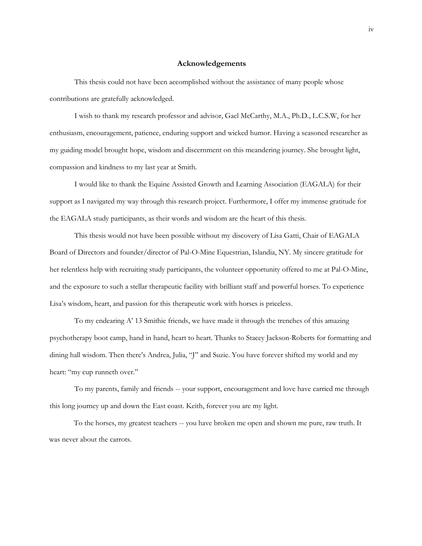#### **Acknowledgements**

<span id="page-4-0"></span>This thesis could not have been accomplished without the assistance of many people whose contributions are gratefully acknowledged.

I wish to thank my research professor and advisor, Gael McCarthy, M.A., Ph.D., L.C.S.W, for her enthusiasm, encouragement, patience, enduring support and wicked humor. Having a seasoned researcher as my guiding model brought hope, wisdom and discernment on this meandering journey. She brought light, compassion and kindness to my last year at Smith.

I would like to thank the Equine Assisted Growth and Learning Association (EAGALA) for their support as I navigated my way through this research project. Furthermore, I offer my immense gratitude for the EAGALA study participants, as their words and wisdom are the heart of this thesis.

This thesis would not have been possible without my discovery of Lisa Gatti, Chair of EAGALA Board of Directors and founder/director of Pal-O-Mine Equestrian, Islandia, NY. My sincere gratitude for her relentless help with recruiting study participants, the volunteer opportunity offered to me at Pal-O-Mine, and the exposure to such a stellar therapeutic facility with brilliant staff and powerful horses. To experience Lisa's wisdom, heart, and passion for this therapeutic work with horses is priceless.

To my endearing A' 13 Smithie friends, we have made it through the trenches of this amazing psychotherapy boot camp, hand in hand, heart to heart. Thanks to Stacey Jackson-Roberts for formatting and dining hall wisdom. Then there's Andrea, Julia, "J" and Suzie. You have forever shifted my world and my heart: "my cup runneth over."

To my parents, family and friends -- your support, encouragement and love have carried me through this long journey up and down the East coast. Keith, forever you are my light.

To the horses, my greatest teachers -- you have broken me open and shown me pure, raw truth. It was never about the carrots.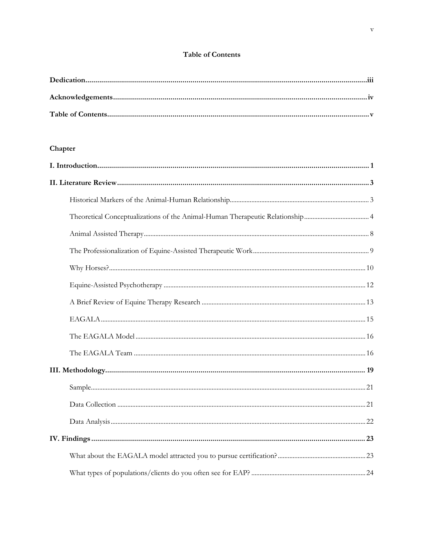# Table of Contents

<span id="page-5-0"></span>

# Chapter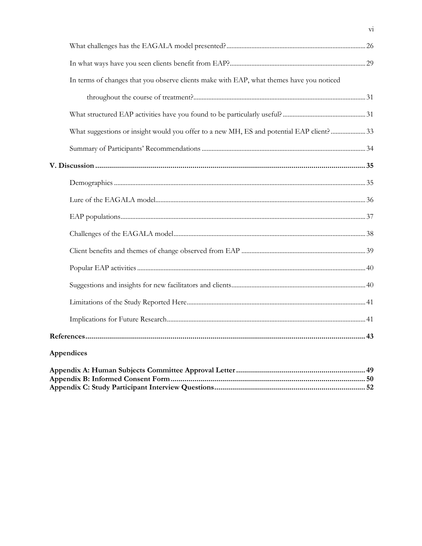| In terms of changes that you observe clients make with EAP, what themes have you noticed |  |
|------------------------------------------------------------------------------------------|--|
|                                                                                          |  |
|                                                                                          |  |
| What suggestions or insight would you offer to a new MH, ES and potential EAP client?33  |  |
|                                                                                          |  |
|                                                                                          |  |
|                                                                                          |  |
|                                                                                          |  |
|                                                                                          |  |
|                                                                                          |  |
|                                                                                          |  |
|                                                                                          |  |
|                                                                                          |  |
|                                                                                          |  |
|                                                                                          |  |
|                                                                                          |  |
| Appendices                                                                               |  |
|                                                                                          |  |

 $\overline{vi}$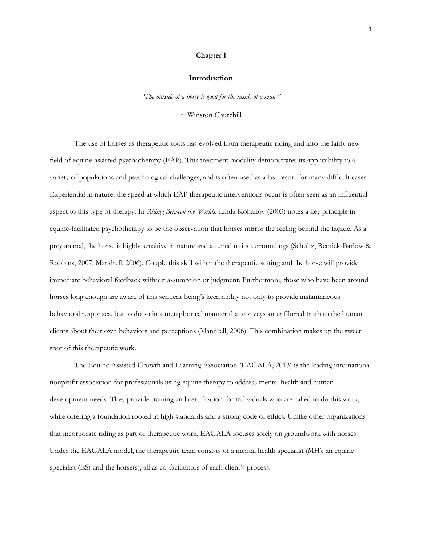#### **Chapter I**

#### **Introduction**

*"The outside of a horse is good for the inside of a man."* 

 $\sim$  Winston Churchill

<span id="page-7-0"></span>The use of horses as therapeutic tools has evolved from therapeutic riding and into the fairly new field of equine-assisted psychotherapy (EAP). This treatment modality demonstrates its applicability to a variety of populations and psychological challenges, and is often used as a last resort for many difficult cases. Experiential in nature, the speed at which EAP therapeutic interventions occur is often seen as an influential aspect to this type of therapy. In *Riding Between the Worlds*, Linda Kohanov (2003) notes a key principle in equine-facilitated psychotherapy to be the observation that horses mirror the feeling behind the façade. As a prey animal, the horse is highly sensitive in nature and attuned to its surroundings (Schultz, Remick-Barlow & Robbins, 2007; Mandrell, 2006). Couple this skill within the therapeutic setting and the horse will provide immediate behavioral feedback without assumption or judgment. Furthermore, those who have been around horses long enough are aware of this sentient being's keen ability not only to provide instantaneous behavioral responses, but to do so in a metaphorical manner that conveys an unfiltered truth to the human clients about their own behaviors and perceptions (Mandrell, 2006). This combination makes up the sweet spot of this therapeutic work.

The Equine Assisted Growth and Learning Association (EAGALA, 2013) is the leading international nonprofit association for professionals using equine therapy to address mental health and human development needs. They provide training and certification for individuals who are called to do this work, while offering a foundation rooted in high standards and a strong code of ethics. Unlike other organizations that incorporate riding as part of therapeutic work, EAGALA focuses solely on groundwork with horses. Under the EAGALA model, the therapeutic team consists of a mental health specialist (MH), an equine specialist (ES) and the horse(s), all as co-facilitators of each client's process.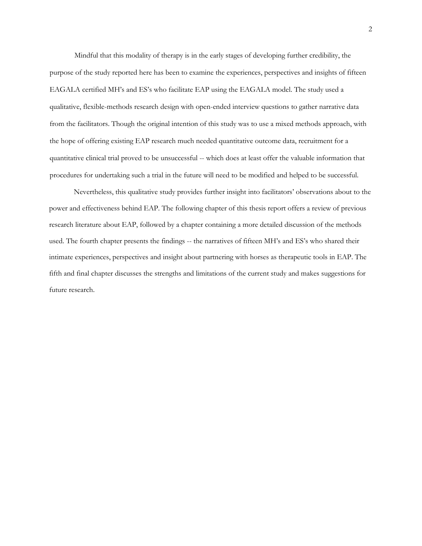Mindful that this modality of therapy is in the early stages of developing further credibility, the purpose of the study reported here has been to examine the experiences, perspectives and insights of fifteen EAGALA certified MH's and ES's who facilitate EAP using the EAGALA model. The study used a qualitative, flexible-methods research design with open-ended interview questions to gather narrative data from the facilitators. Though the original intention of this study was to use a mixed methods approach, with the hope of offering existing EAP research much needed quantitative outcome data, recruitment for a quantitative clinical trial proved to be unsuccessful -- which does at least offer the valuable information that procedures for undertaking such a trial in the future will need to be modified and helped to be successful.

Nevertheless, this qualitative study provides further insight into facilitators' observations about to the power and effectiveness behind EAP. The following chapter of this thesis report offers a review of previous research literature about EAP, followed by a chapter containing a more detailed discussion of the methods used. The fourth chapter presents the findings -- the narratives of fifteen MH's and ES's who shared their intimate experiences, perspectives and insight about partnering with horses as therapeutic tools in EAP. The fifth and final chapter discusses the strengths and limitations of the current study and makes suggestions for future research.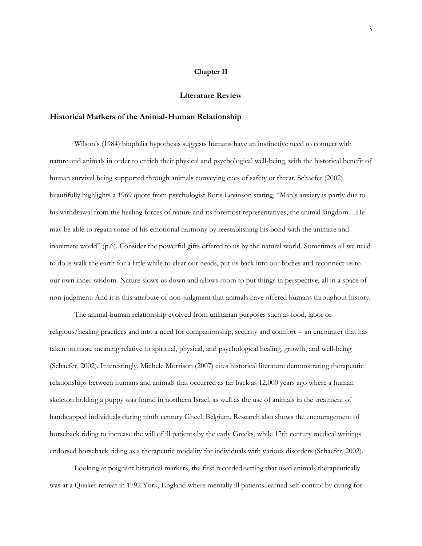#### **Chapter II**

#### **Literature Review**

#### <span id="page-9-1"></span><span id="page-9-0"></span>**Historical Markers of the Animal-Human Relationship**

Wilson's (1984) biophilia hypothesis suggests humans have an instinctive need to connect with nature and animals in order to enrich their physical and psychological well-being, with the historical benefit of human survival being supported through animals conveying cues of safety or threat. Schaefer (2002) beautifully highlights a 1969 quote from psychologist Boris Levinson stating, "Man's anxiety is partly due to his withdrawal from the healing forces of nature and its foremost representatives, the animal kingdom...He may be able to regain some of his emotional harmony by reestablishing his bond with the animate and inanimate world" (p.6). Consider the powerful gifts offered to us by the natural world. Sometimes all we need to do is walk the earth for a little while to clear our heads, put us back into our bodies and reconnect us to our own inner wisdom. Nature slows us down and allows room to put things in perspective, all in a space of non-judgment. And it is this attribute of non-judgment that animals have offered humans throughout history.

The animal-human relationship evolved from utilitarian purposes such as food, labor or religious/healing practices and into a need for companionship, security and comfort -- an encounter that has taken on more meaning relative to spiritual, physical, and psychological healing, growth, and well-being (Schaefer, 2002). Interestingly, Michele Morrison (2007) cites historical literature demonstrating therapeutic relationships between humans and animals that occurred as far back as 12,000 years ago where a human skeleton holding a puppy was found in northern Israel, as well as the use of animals in the treatment of handicapped individuals during ninth century Gheel, Belgium. Research also shows the encouragement of horseback riding to increase the will of ill patients by the early Greeks, while 17th century medical writings endorsed horseback riding as a therapeutic modality for individuals with various disorders (Schaefer, 2002).

Looking at poignant historical markers, the first recorded setting that used animals therapeutically was at a Quaker retreat in 1792 York, England where mentally ill patients learned self-control by caring for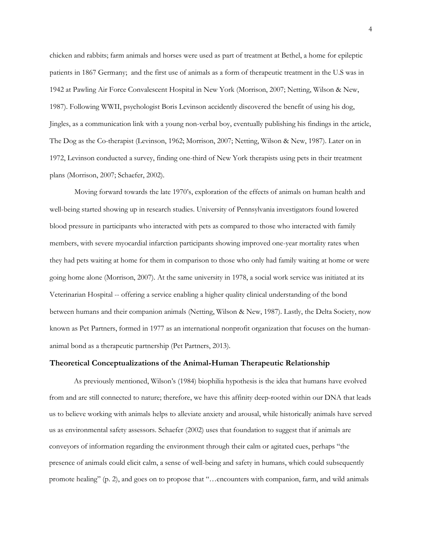chicken and rabbits; farm animals and horses were used as part of treatment at Bethel, a home for epileptic patients in 1867 Germany; and the first use of animals as a form of therapeutic treatment in the U.S was in 1942 at Pawling Air Force Convalescent Hospital in New York (Morrison, 2007; Netting, Wilson & New, 1987). Following WWII, psychologist Boris Levinson accidently discovered the benefit of using his dog, Jingles, as a communication link with a young non-verbal boy, eventually publishing his findings in the article, The Dog as the Co-therapist (Levinson, 1962; Morrison, 2007; Netting, Wilson & New, 1987). Later on in 1972, Levinson conducted a survey, finding one-third of New York therapists using pets in their treatment plans (Morrison, 2007; Schaefer, 2002).

Moving forward towards the late 1970's, exploration of the effects of animals on human health and well-being started showing up in research studies. University of Pennsylvania investigators found lowered blood pressure in participants who interacted with pets as compared to those who interacted with family members, with severe myocardial infarction participants showing improved one-year mortality rates when they had pets waiting at home for them in comparison to those who only had family waiting at home or were going home alone (Morrison, 2007). At the same university in 1978, a social work service was initiated at its Veterinarian Hospital -- offering a service enabling a higher quality clinical understanding of the bond between humans and their companion animals (Netting, Wilson & New, 1987). Lastly, the Delta Society, now known as Pet Partners, formed in 1977 as an international nonprofit organization that focuses on the humananimal bond as a therapeutic partnership (Pet Partners, 2013).

#### <span id="page-10-0"></span>**Theoretical Conceptualizations of the Animal-Human Therapeutic Relationship**

As previously mentioned, Wilson's (1984) biophilia hypothesis is the idea that humans have evolved from and are still connected to nature; therefore, we have this affinity deep-rooted within our DNA that leads us to believe working with animals helps to alleviate anxiety and arousal, while historically animals have served us as environmental safety assessors. Schaefer (2002) uses that foundation to suggest that if animals are conveyors of information regarding the environment through their calm or agitated cues, perhaps "the presence of animals could elicit calm, a sense of well-being and safety in humans, which could subsequently promote healing" (p. 2), and goes on to propose that "…encounters with companion, farm, and wild animals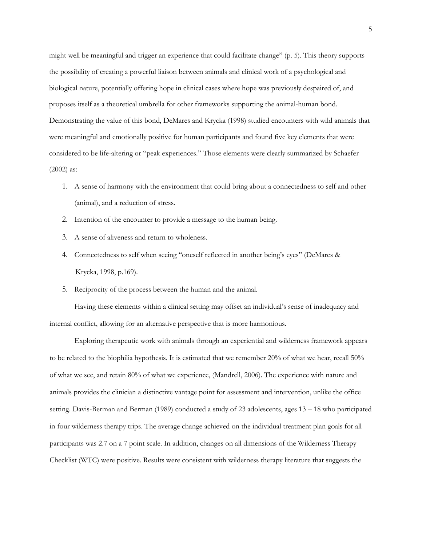might well be meaningful and trigger an experience that could facilitate change" (p. 5). This theory supports the possibility of creating a powerful liaison between animals and clinical work of a psychological and biological nature, potentially offering hope in clinical cases where hope was previously despaired of, and proposes itself as a theoretical umbrella for other frameworks supporting the animal-human bond. Demonstrating the value of this bond, DeMares and Krycka (1998) studied encounters with wild animals that were meaningful and emotionally positive for human participants and found five key elements that were considered to be life-altering or "peak experiences." Those elements were clearly summarized by Schaefer (2002) as:

- 1. A sense of harmony with the environment that could bring about a connectedness to self and other (animal), and a reduction of stress.
- 2. Intention of the encounter to provide a message to the human being.
- 3. A sense of aliveness and return to wholeness.
- 4. Connectedness to self when seeing "oneself reflected in another being's eyes" (DeMares & Krycka, 1998, p.169).
- 5. Reciprocity of the process between the human and the animal.

Having these elements within a clinical setting may offset an individual's sense of inadequacy and internal conflict, allowing for an alternative perspective that is more harmonious.

Exploring therapeutic work with animals through an experiential and wilderness framework appears to be related to the biophilia hypothesis. It is estimated that we remember 20% of what we hear, recall 50% of what we see, and retain 80% of what we experience, (Mandrell, 2006). The experience with nature and animals provides the clinician a distinctive vantage point for assessment and intervention, unlike the office setting. Davis-Berman and Berman (1989) conducted a study of 23 adolescents, ages 13 – 18 who participated in four wilderness therapy trips. The average change achieved on the individual treatment plan goals for all participants was 2.7 on a 7 point scale. In addition, changes on all dimensions of the Wilderness Therapy Checklist (WTC) were positive. Results were consistent with wilderness therapy literature that suggests the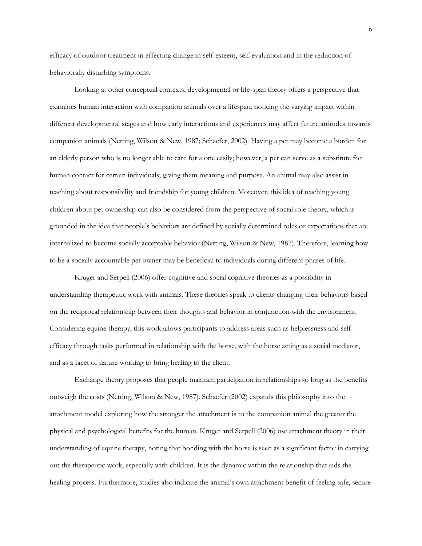efficacy of outdoor treatment in effecting change in self-esteem, self-evaluation and in the reduction of behaviorally disturbing symptoms.

Looking at other conceptual contexts, developmental or life-span theory offers a perspective that examines human interaction with companion animals over a lifespan, noticing the varying impact within different developmental stages and how early interactions and experiences may affect future attitudes towards companion animals (Netting, Wilson & New, 1987; Schaefer, 2002). Having a pet may become a burden for an elderly person who is no longer able to care for a one easily; however, a pet can serve as a substitute for human contact for certain individuals, giving them meaning and purpose. An animal may also assist in teaching about responsibility and friendship for young children. Moreover, this idea of teaching young children about pet ownership can also be considered from the perspective of social role theory, which is grounded in the idea that people's behaviors are defined by socially determined roles or expectations that are internalized to become socially acceptable behavior (Netting, Wilson & New, 1987). Therefore, learning how to be a socially accountable pet owner may be beneficial to individuals during different phases of life.

Kruger and Serpell (2006) offer cognitive and social cognitive theories as a possibility in understanding therapeutic work with animals. These theories speak to clients changing their behaviors based on the reciprocal relationship between their thoughts and behavior in conjunction with the environment. Considering equine therapy, this work allows participants to address areas such as helplessness and selfefficacy through tasks performed in relationship with the horse, with the horse acting as a social mediator, and as a facet of nature working to bring healing to the client.

Exchange theory proposes that people maintain participation in relationships so long as the benefits outweigh the costs (Netting, Wilson & New, 1987). Schaefer (2002) expands this philosophy into the attachment model exploring how the stronger the attachment is to the companion animal the greater the physical and psychological benefits for the human. Kruger and Serpell (2006) use attachment theory in their understanding of equine therapy, noting that bonding with the horse is seen as a significant factor in carrying out the therapeutic work, especially with children. It is the dynamic within the relationship that aids the healing process. Furthermore, studies also indicate the animal's own attachment benefit of feeling safe, secure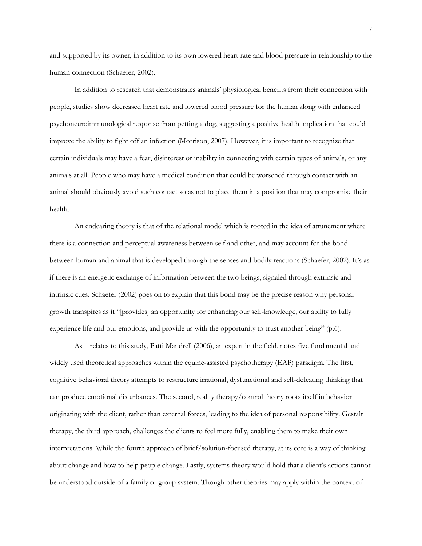and supported by its owner, in addition to its own lowered heart rate and blood pressure in relationship to the human connection (Schaefer, 2002).

In addition to research that demonstrates animals' physiological benefits from their connection with people, studies show decreased heart rate and lowered blood pressure for the human along with enhanced psychoneuroimmunological response from petting a dog, suggesting a positive health implication that could improve the ability to fight off an infection (Morrison, 2007). However, it is important to recognize that certain individuals may have a fear, disinterest or inability in connecting with certain types of animals, or any animals at all. People who may have a medical condition that could be worsened through contact with an animal should obviously avoid such contact so as not to place them in a position that may compromise their health.

An endearing theory is that of the relational model which is rooted in the idea of attunement where there is a connection and perceptual awareness between self and other, and may account for the bond between human and animal that is developed through the senses and bodily reactions (Schaefer, 2002). It's as if there is an energetic exchange of information between the two beings, signaled through extrinsic and intrinsic cues. Schaefer (2002) goes on to explain that this bond may be the precise reason why personal growth transpires as it "[provides] an opportunity for enhancing our self-knowledge, our ability to fully experience life and our emotions, and provide us with the opportunity to trust another being" (p.6).

As it relates to this study, Patti Mandrell (2006), an expert in the field, notes five fundamental and widely used theoretical approaches within the equine-assisted psychotherapy (EAP) paradigm. The first, cognitive behavioral theory attempts to restructure irrational, dysfunctional and self-defeating thinking that can produce emotional disturbances. The second, reality therapy/control theory roots itself in behavior originating with the client, rather than external forces, leading to the idea of personal responsibility. Gestalt therapy, the third approach, challenges the clients to feel more fully, enabling them to make their own interpretations. While the fourth approach of brief/solution-focused therapy, at its core is a way of thinking about change and how to help people change. Lastly, systems theory would hold that a client's actions cannot be understood outside of a family or group system. Though other theories may apply within the context of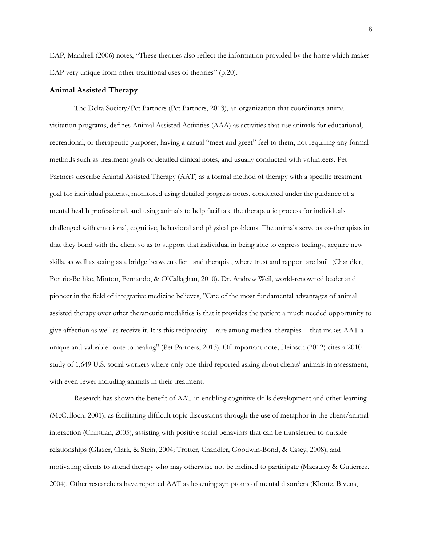EAP, Mandrell (2006) notes, "These theories also reflect the information provided by the horse which makes EAP very unique from other traditional uses of theories" (p.20).

#### <span id="page-14-0"></span>**Animal Assisted Therapy**

The Delta Society/Pet Partners (Pet Partners, 2013), an organization that coordinates animal visitation programs, defines Animal Assisted Activities (AAA) as activities that use animals for educational, recreational, or therapeutic purposes, having a casual "meet and greet" feel to them, not requiring any formal methods such as treatment goals or detailed clinical notes, and usually conducted with volunteers. Pet Partners describe Animal Assisted Therapy (AAT) as a formal method of therapy with a specific treatment goal for individual patients, monitored using detailed progress notes, conducted under the guidance of a mental health professional, and using animals to help facilitate the therapeutic process for individuals challenged with emotional, cognitive, behavioral and physical problems. The animals serve as co-therapists in that they bond with the client so as to support that individual in being able to express feelings, acquire new skills, as well as acting as a bridge between client and therapist, where trust and rapport are built (Chandler, Portrie-Bethke, Minton, Fernando, & O'Callaghan, 2010). Dr. Andrew Weil, world-renowned leader and pioneer in the field of integrative medicine believes, "One of the most fundamental advantages of animal assisted therapy over other therapeutic modalities is that it provides the patient a much needed opportunity to give affection as well as receive it. It is this reciprocity -- rare among medical therapies -- that makes AAT a unique and valuable route to healing" (Pet Partners, 2013). Of important note, Heinsch (2012) cites a 2010 study of 1,649 U.S. social workers where only one-third reported asking about clients' animals in assessment, with even fewer including animals in their treatment.

Research has shown the benefit of AAT in enabling cognitive skills development and other learning (McCulloch, 2001), as facilitating difficult topic discussions through the use of metaphor in the client/animal interaction (Christian, 2005), assisting with positive social behaviors that can be transferred to outside relationships (Glazer, Clark, & Stein, 2004; Trotter, Chandler, Goodwin-Bond, & Casey, 2008), and motivating clients to attend therapy who may otherwise not be inclined to participate (Macauley & Gutierrez, 2004). Other researchers have reported AAT as lessening symptoms of mental disorders (Klontz, Bivens,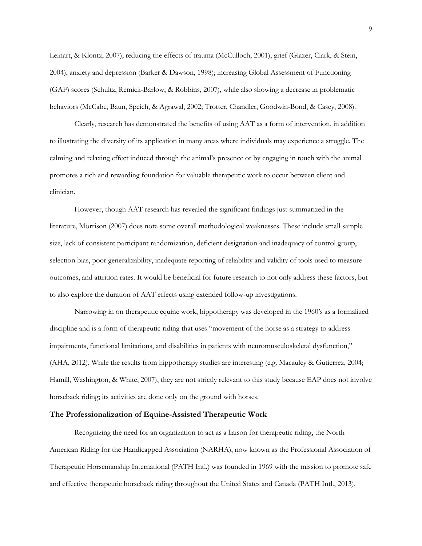Leinart, & Klontz, 2007); reducing the effects of trauma (McCulloch, 2001), grief (Glazer, Clark, & Stein, 2004), anxiety and depression (Barker & Dawson, 1998); increasing Global Assessment of Functioning (GAF) scores (Schultz, Remick-Barlow, & Robbins, 2007), while also showing a decrease in problematic behaviors (McCabe, Baun, Speich, & Agrawal, 2002; Trotter, Chandler, Goodwin-Bond, & Casey, 2008).

Clearly, research has demonstrated the benefits of using AAT as a form of intervention, in addition to illustrating the diversity of its application in many areas where individuals may experience a struggle. The calming and relaxing effect induced through the animal's presence or by engaging in touch with the animal promotes a rich and rewarding foundation for valuable therapeutic work to occur between client and clinician.

However, though AAT research has revealed the significant findings just summarized in the literature, Morrison (2007) does note some overall methodological weaknesses. These include small sample size, lack of consistent participant randomization, deficient designation and inadequacy of control group, selection bias, poor generalizability, inadequate reporting of reliability and validity of tools used to measure outcomes, and attrition rates. It would be beneficial for future research to not only address these factors, but to also explore the duration of AAT effects using extended follow-up investigations.

Narrowing in on therapeutic equine work, hippotherapy was developed in the 1960's as a formalized discipline and is a form of therapeutic riding that uses "movement of the horse as a strategy to address impairments, functional limitations, and disabilities in patients with neuromusculoskeletal dysfunction," (AHA, 2012). While the results from hippotherapy studies are interesting (e.g. Macauley & Gutierrez, 2004; Hamill, Washington, & White, 2007), they are not strictly relevant to this study because EAP does not involve horseback riding; its activities are done only on the ground with horses.

#### <span id="page-15-0"></span>**The Professionalization of Equine-Assisted Therapeutic Work**

Recognizing the need for an organization to act as a liaison for therapeutic riding, the North American Riding for the Handicapped Association (NARHA), now known as the Professional Association of Therapeutic Horsemanship International (PATH Intl.) was founded in 1969 with the mission to promote safe and effective therapeutic horseback riding throughout the United States and Canada (PATH Intl., 2013).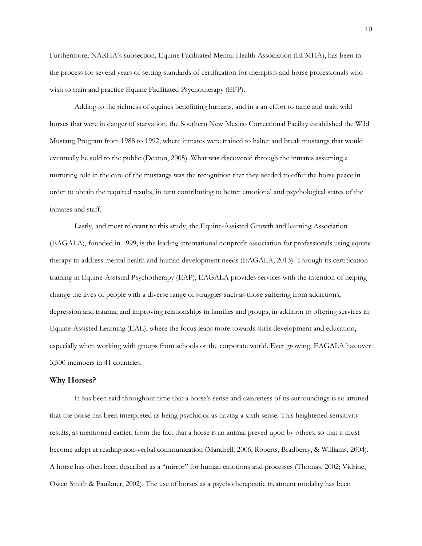Furthermore, NARHA's subsection, Equine Facilitated Mental Health Association (EFMHA), has been in the process for several years of setting standards of certification for therapists and horse professionals who wish to train and practice Equine Facilitated Psychotherapy (EFP).

Adding to the richness of equines benefitting humans, and in a an effort to tame and train wild horses that were in danger of starvation, the Southern New Mexico Correctional Facility established the Wild Mustang Program from 1988 to 1992, where inmates were trained to halter and break mustangs that would eventually be sold to the public (Deaton, 2005). What was discovered through the inmates assuming a nurturing role in the care of the mustangs was the recognition that they needed to offer the horse peace in order to obtain the required results, in turn contributing to better emotional and psychological states of the inmates and staff.

Lastly, and most relevant to this study, the Equine-Assisted Growth and learning Association (EAGALA), founded in 1999, is the leading international nonprofit association for professionals using equine therapy to address mental health and human development needs (EAGALA, 2013). Through its certification training in Equine-Assisted Psychotherapy (EAP), EAGALA provides services with the intention of helping change the lives of people with a diverse range of struggles such as those suffering from addictions, depression and trauma, and improving relationships in families and groups, in addition to offering services in Equine-Assisted Learning (EAL), where the focus leans more towards skills development and education, especially when working with groups from schools or the corporate world. Ever growing, EAGALA has over 3,500 members in 41 countries.

#### <span id="page-16-0"></span>**Why Horses?**

It has been said throughout time that a horse's sense and awareness of its surroundings is so attuned that the horse has been interpreted as being psychic or as having a sixth sense. This heightened sensitivity results, as mentioned earlier, from the fact that a horse is an animal preyed upon by others, so that it must become adept at reading non-verbal communication (Mandrell, 2006; Roberts, Bradberry, & Williams, 2004). A horse has often been described as a "mirror" for human emotions and processes (Thomas, 2002; Vidrine, Owen Smith & Faulkner, 2002). The use of horses as a psychotherapeutic treatment modality has been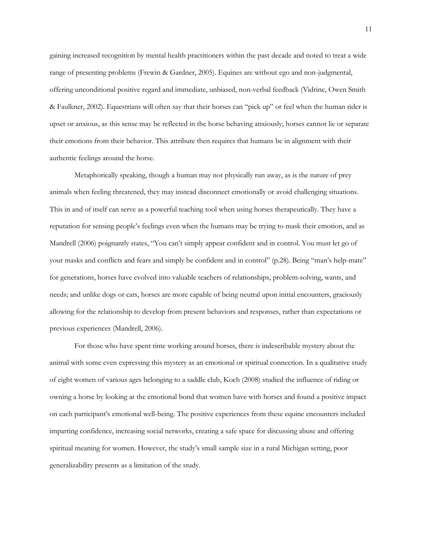gaining increased recognition by mental health practitioners within the past decade and noted to treat a wide range of presenting problems (Frewin & Gardner, 2005). Equines are without ego and non-judgmental, offering unconditional positive regard and immediate, unbiased, non-verbal feedback (Vidrine, Owen Smith & Faulkner, 2002). Equestrians will often say that their horses can "pick up" or feel when the human rider is upset or anxious, as this sense may be reflected in the horse behaving anxiously; horses cannot lie or separate their emotions from their behavior. This attribute then requires that humans be in alignment with their authentic feelings around the horse.

Metaphorically speaking, though a human may not physically run away, as is the nature of prey animals when feeling threatened, they may instead disconnect emotionally or avoid challenging situations. This in and of itself can serve as a powerful teaching tool when using horses therapeutically. They have a reputation for sensing people's feelings even when the humans may be trying to mask their emotion, and as Mandrell (2006) poignantly states, "You can't simply appear confident and in control. You must let go of your masks and conflicts and fears and simply be confident and in control" (p.28). Being "man's help-mate" for generations, horses have evolved into valuable teachers of relationships, problem-solving, wants, and needs; and unlike dogs or cats, horses are more capable of being neutral upon initial encounters, graciously allowing for the relationship to develop from present behaviors and responses, rather than expectations or previous experiences (Mandrell, 2006).

For those who have spent time working around horses, there is indescribable mystery about the animal with some even expressing this mystery as an emotional or spiritual connection. In a qualitative study of eight women of various ages belonging to a saddle club, Koch (2008) studied the influence of riding or owning a horse by looking at the emotional bond that women have with horses and found a positive impact on each participant's emotional well-being. The positive experiences from these equine encounters included imparting confidence, increasing social networks, creating a safe space for discussing abuse and offering spiritual meaning for women. However, the study's small sample size in a rural Michigan setting, poor generalizability presents as a limitation of the study.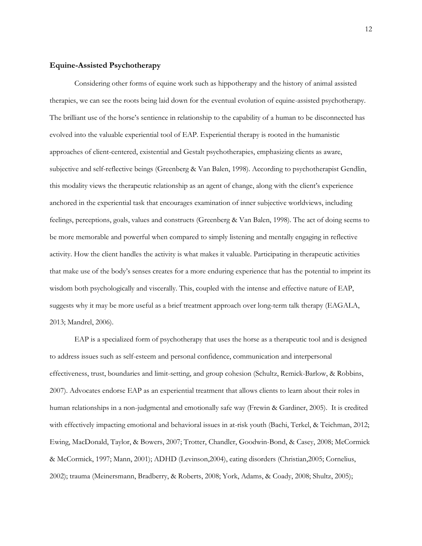#### <span id="page-18-0"></span>**Equine-Assisted Psychotherapy**

Considering other forms of equine work such as hippotherapy and the history of animal assisted therapies, we can see the roots being laid down for the eventual evolution of equine-assisted psychotherapy. The brilliant use of the horse's sentience in relationship to the capability of a human to be disconnected has evolved into the valuable experiential tool of EAP. Experiential therapy is rooted in the humanistic approaches of client-centered, existential and Gestalt psychotherapies, emphasizing clients as aware, subjective and self-reflective beings (Greenberg & Van Balen, 1998). According to psychotherapist Gendlin, this modality views the therapeutic relationship as an agent of change, along with the client's experience anchored in the experiential task that encourages examination of inner subjective worldviews, including feelings, perceptions, goals, values and constructs (Greenberg & Van Balen, 1998). The act of doing seems to be more memorable and powerful when compared to simply listening and mentally engaging in reflective activity. How the client handles the activity is what makes it valuable. Participating in therapeutic activities that make use of the body's senses creates for a more enduring experience that has the potential to imprint its wisdom both psychologically and viscerally. This, coupled with the intense and effective nature of EAP, suggests why it may be more useful as a brief treatment approach over long-term talk therapy (EAGALA, 2013; Mandrel, 2006).

EAP is a specialized form of psychotherapy that uses the horse as a therapeutic tool and is designed to address issues such as self-esteem and personal confidence, communication and interpersonal effectiveness, trust, boundaries and limit-setting, and group cohesion (Schultz, Remick-Barlow, & Robbins, 2007). Advocates endorse EAP as an experiential treatment that allows clients to learn about their roles in human relationships in a non-judgmental and emotionally safe way (Frewin & Gardiner, 2005). It is credited with effectively impacting emotional and behavioral issues in at-risk youth (Bachi, Terkel, & Teichman, 2012; Ewing, MacDonald, Taylor, & Bowers, 2007; Trotter, Chandler, Goodwin-Bond, & Casey, 2008; McCormick & McCormick, 1997; Mann, 2001); ADHD (Levinson,2004), eating disorders (Christian,2005; Cornelius, 2002); trauma (Meinersmann, Bradberry, & Roberts, 2008; York, Adams, & Coady, 2008; Shultz, 2005);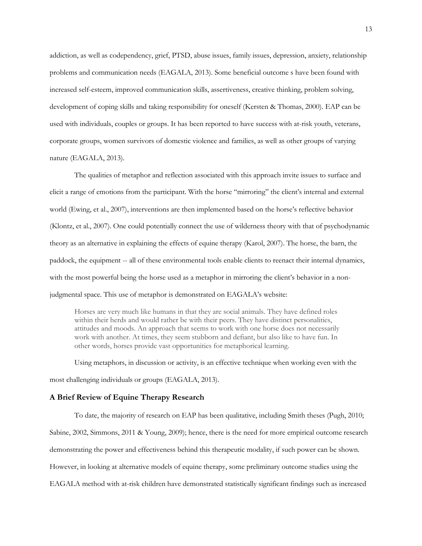addiction, as well as codependency, grief, PTSD, abuse issues, family issues, depression, anxiety, relationship problems and communication needs (EAGALA, 2013). Some beneficial outcome s have been found with increased self-esteem, improved communication skills, assertiveness, creative thinking, problem solving, development of coping skills and taking responsibility for oneself (Kersten & Thomas, 2000). EAP can be used with individuals, couples or groups. It has been reported to have success with at-risk youth, veterans, corporate groups, women survivors of domestic violence and families, as well as other groups of varying nature (EAGALA, 2013).

The qualities of metaphor and reflection associated with this approach invite issues to surface and elicit a range of emotions from the participant. With the horse "mirroring" the client's internal and external world (Ewing, et al., 2007), interventions are then implemented based on the horse's reflective behavior (Klontz, et al., 2007). One could potentially connect the use of wilderness theory with that of psychodynamic theory as an alternative in explaining the effects of equine therapy (Karol, 2007). The horse, the barn, the paddock, the equipment -- all of these environmental tools enable clients to reenact their internal dynamics, with the most powerful being the horse used as a metaphor in mirroring the client's behavior in a nonjudgmental space. This use of metaphor is demonstrated on EAGALA's website:

Horses are very much like humans in that they are social animals. They have defined roles within their herds and would rather be with their peers. They have distinct personalities, attitudes and moods. An approach that seems to work with one horse does not necessarily work with another. At times, they seem stubborn and defiant, but also like to have fun. In other words, horses provide vast opportunities for metaphorical learning.

Using metaphors, in discussion or activity, is an effective technique when working even with the most challenging individuals or groups (EAGALA, 2013).

#### <span id="page-19-0"></span>**A Brief Review of Equine Therapy Research**

To date, the majority of research on EAP has been qualitative, including Smith theses (Pugh, 2010; Sabine, 2002, Simmons, 2011 & Young, 2009); hence, there is the need for more empirical outcome research demonstrating the power and effectiveness behind this therapeutic modality, if such power can be shown. However, in looking at alternative models of equine therapy, some preliminary outcome studies using the EAGALA method with at-risk children have demonstrated statistically significant findings such as increased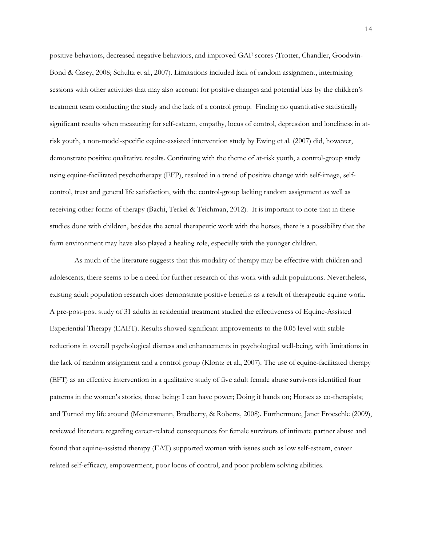positive behaviors, decreased negative behaviors, and improved GAF scores (Trotter, Chandler, Goodwin-Bond & Casey, 2008; Schultz et al., 2007). Limitations included lack of random assignment, intermixing sessions with other activities that may also account for positive changes and potential bias by the children's treatment team conducting the study and the lack of a control group. Finding no quantitative statistically significant results when measuring for self-esteem, empathy, locus of control, depression and loneliness in atrisk youth, a non-model-specific equine-assisted intervention study by Ewing et al. (2007) did, however, demonstrate positive qualitative results. Continuing with the theme of at-risk youth, a control-group study using equine-facilitated psychotherapy (EFP), resulted in a trend of positive change with self-image, selfcontrol, trust and general life satisfaction, with the control-group lacking random assignment as well as receiving other forms of therapy (Bachi, Terkel & Teichman, 2012). It is important to note that in these studies done with children, besides the actual therapeutic work with the horses, there is a possibility that the farm environment may have also played a healing role, especially with the younger children.

As much of the literature suggests that this modality of therapy may be effective with children and adolescents, there seems to be a need for further research of this work with adult populations. Nevertheless, existing adult population research does demonstrate positive benefits as a result of therapeutic equine work. A pre-post-post study of 31 adults in residential treatment studied the effectiveness of Equine-Assisted Experiential Therapy (EAET). Results showed significant improvements to the 0.05 level with stable reductions in overall psychological distress and enhancements in psychological well-being, with limitations in the lack of random assignment and a control group (Klontz et al., 2007). The use of equine-facilitated therapy (EFT) as an effective intervention in a qualitative study of five adult female abuse survivors identified four patterns in the women's stories, those being: I can have power; Doing it hands on; Horses as co-therapists; and Turned my life around (Meinersmann, Bradberry, & Roberts, 2008). Furthermore, Janet Froeschle (2009), reviewed literature regarding career-related consequences for female survivors of intimate partner abuse and found that equine-assisted therapy (EAT) supported women with issues such as low self-esteem, career related self-efficacy, empowerment, poor locus of control, and poor problem solving abilities.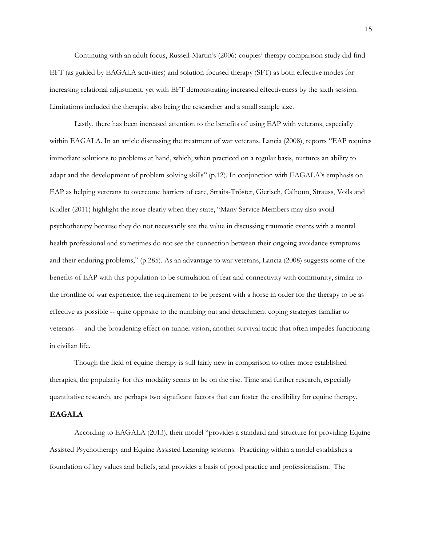Continuing with an adult focus, Russell-Martin's (2006) couples' therapy comparison study did find EFT (as guided by EAGALA activities) and solution focused therapy (SFT) as both effective modes for increasing relational adjustment, yet with EFT demonstrating increased effectiveness by the sixth session. Limitations included the therapist also being the researcher and a small sample size.

Lastly, there has been increased attention to the benefits of using EAP with veterans, especially within EAGALA. In an article discussing the treatment of war veterans, Lancia (2008), reports "EAP requires immediate solutions to problems at hand, which, when practiced on a regular basis, nurtures an ability to adapt and the development of problem solving skills" (p.12). In conjunction with EAGALA's emphasis on EAP as helping veterans to overcome barriers of care, Straits-Tröster, Gierisch, Calhoun, Strauss, Voils and Kudler (2011) highlight the issue clearly when they state, "Many Service Members may also avoid psychotherapy because they do not necessarily see the value in discussing traumatic events with a mental health professional and sometimes do not see the connection between their ongoing avoidance symptoms and their enduring problems," (p.285). As an advantage to war veterans, Lancia (2008) suggests some of the benefits of EAP with this population to be stimulation of fear and connectivity with community, similar to the frontline of war experience, the requirement to be present with a horse in order for the therapy to be as effective as possible -- quite opposite to the numbing out and detachment coping strategies familiar to veterans -- and the broadening effect on tunnel vision, another survival tactic that often impedes functioning in civilian life.

Though the field of equine therapy is still fairly new in comparison to other more established therapies, the popularity for this modality seems to be on the rise. Time and further research, especially quantitative research, are perhaps two significant factors that can foster the credibility for equine therapy.

# <span id="page-21-0"></span>**EAGALA**

According to EAGALA (2013), their model "provides a standard and structure for providing Equine Assisted Psychotherapy and Equine Assisted Learning sessions. Practicing within a model establishes a foundation of key values and beliefs, and provides a basis of good practice and professionalism. The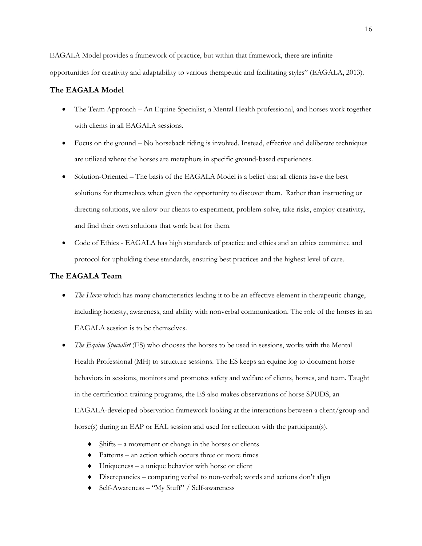EAGALA Model provides a framework of practice, but within that framework, there are infinite opportunities for creativity and adaptability to various therapeutic and facilitating styles" (EAGALA, 2013).

# <span id="page-22-0"></span>**The EAGALA Model**

- The Team Approach An Equine Specialist, a Mental Health professional, and horses work together with clients in all EAGALA sessions.
- Focus on the ground No horseback riding is involved. Instead, effective and deliberate techniques are utilized where the horses are metaphors in specific ground-based experiences.
- Solution-Oriented The basis of the EAGALA Model is a belief that all clients have the best solutions for themselves when given the opportunity to discover them. Rather than instructing or directing solutions, we allow our clients to experiment, problem-solve, take risks, employ creativity, and find their own solutions that work best for them.
- Code of Ethics EAGALA has high standards of practice and ethics and an ethics committee and protocol for upholding these standards, ensuring best practices and the highest level of care.

# <span id="page-22-1"></span>**The EAGALA Team**

- *The Horse* which has many characteristics leading it to be an effective element in therapeutic change, including honesty, awareness, and ability with nonverbal communication. The role of the horses in an EAGALA session is to be themselves.
- *The Equine Specialist* (ES) who chooses the horses to be used in sessions, works with the Mental Health Professional (MH) to structure sessions. The ES keeps an equine log to document horse behaviors in sessions, monitors and promotes safety and welfare of clients, horses, and team. Taught in the certification training programs, the ES also makes observations of horse SPUDS, an EAGALA-developed observation framework looking at the interactions between a client/group and horse(s) during an EAP or EAL session and used for reflection with the participant(s).
	- $\blacklozenge$  Shifts a movement or change in the horses or clients
	- $\triangleleft$  Patterns an action which occurs three or more times
	- $\bullet$  Uniqueness a unique behavior with horse or client
	- Discrepancies comparing verbal to non-verbal; words and actions don't align
	- Self-Awareness "My Stuff" / Self-awareness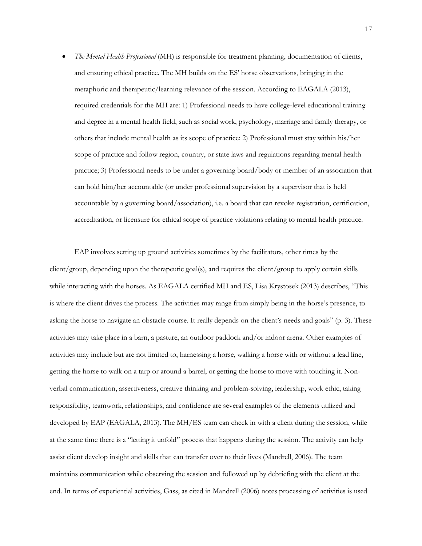*The Mental Health Professional* (MH) is responsible for treatment planning, documentation of clients, and ensuring ethical practice. The MH builds on the ES' horse observations, bringing in the metaphoric and therapeutic/learning relevance of the session. According to EAGALA (2013), required credentials for the MH are: 1) Professional needs to have college-level educational training and degree in a mental health field, such as social work, psychology, marriage and family therapy, or others that include mental health as its scope of practice; 2) Professional must stay within his/her scope of practice and follow region, country, or state laws and regulations regarding mental health practice; 3) Professional needs to be under a governing board/body or member of an association that can hold him/her accountable (or under professional supervision by a supervisor that is held accountable by a governing board/association), i.e. a board that can revoke registration, certification, accreditation, or licensure for ethical scope of practice violations relating to mental health practice.

EAP involves setting up ground activities sometimes by the facilitators, other times by the client/group, depending upon the therapeutic goal(s), and requires the client/group to apply certain skills while interacting with the horses. As EAGALA certified MH and ES, Lisa Krystosek (2013) describes, "This is where the client drives the process. The activities may range from simply being in the horse's presence, to asking the horse to navigate an obstacle course. It really depends on the client's needs and goals" (p. 3). These activities may take place in a barn, a pasture, an outdoor paddock and/or indoor arena. Other examples of activities may include but are not limited to, harnessing a horse, walking a horse with or without a lead line, getting the horse to walk on a tarp or around a barrel, or getting the horse to move with touching it. Nonverbal communication, assertiveness, creative thinking and problem-solving, leadership, work ethic, taking responsibility, teamwork, relationships, and confidence are several examples of the elements utilized and developed by EAP (EAGALA, 2013). The MH/ES team can check in with a client during the session, while at the same time there is a "letting it unfold" process that happens during the session. The activity can help assist client develop insight and skills that can transfer over to their lives (Mandrell, 2006). The team maintains communication while observing the session and followed up by debriefing with the client at the end. In terms of experiential activities, Gass, as cited in Mandrell (2006) notes processing of activities is used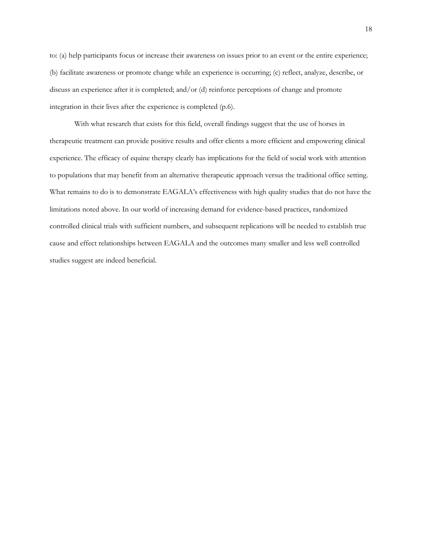to: (a) help participants focus or increase their awareness on issues prior to an event or the entire experience; (b) facilitate awareness or promote change while an experience is occurring; (c) reflect, analyze, describe, or discuss an experience after it is completed; and/or (d) reinforce perceptions of change and promote integration in their lives after the experience is completed (p.6).

With what research that exists for this field, overall findings suggest that the use of horses in therapeutic treatment can provide positive results and offer clients a more efficient and empowering clinical experience. The efficacy of equine therapy clearly has implications for the field of social work with attention to populations that may benefit from an alternative therapeutic approach versus the traditional office setting. What remains to do is to demonstrate EAGALA's effectiveness with high quality studies that do not have the limitations noted above. In our world of increasing demand for evidence-based practices, randomized controlled clinical trials with sufficient numbers, and subsequent replications will be needed to establish true cause and effect relationships between EAGALA and the outcomes many smaller and less well controlled studies suggest are indeed beneficial.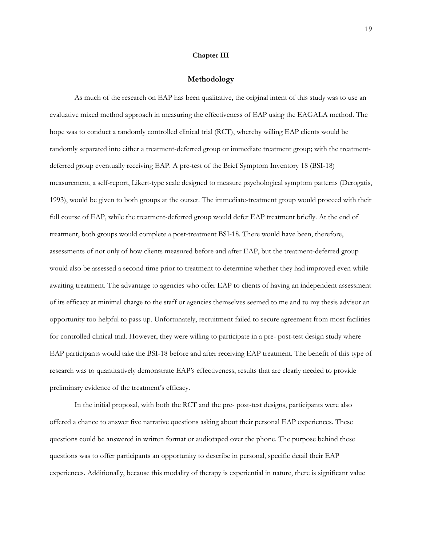#### **Chapter III**

#### **Methodology**

<span id="page-25-0"></span>As much of the research on EAP has been qualitative, the original intent of this study was to use an evaluative mixed method approach in measuring the effectiveness of EAP using the EAGALA method. The hope was to conduct a randomly controlled clinical trial (RCT), whereby willing EAP clients would be randomly separated into either a treatment-deferred group or immediate treatment group; with the treatmentdeferred group eventually receiving EAP. A pre-test of the Brief Symptom Inventory 18 (BSI-18) measurement, a self-report, Likert-type scale designed to measure psychological symptom patterns (Derogatis, 1993), would be given to both groups at the outset. The immediate-treatment group would proceed with their full course of EAP, while the treatment-deferred group would defer EAP treatment briefly. At the end of treatment, both groups would complete a post-treatment BSI-18. There would have been, therefore, assessments of not only of how clients measured before and after EAP, but the treatment-deferred group would also be assessed a second time prior to treatment to determine whether they had improved even while awaiting treatment. The advantage to agencies who offer EAP to clients of having an independent assessment of its efficacy at minimal charge to the staff or agencies themselves seemed to me and to my thesis advisor an opportunity too helpful to pass up. Unfortunately, recruitment failed to secure agreement from most facilities for controlled clinical trial. However, they were willing to participate in a pre- post-test design study where EAP participants would take the BSI-18 before and after receiving EAP treatment. The benefit of this type of research was to quantitatively demonstrate EAP's effectiveness, results that are clearly needed to provide preliminary evidence of the treatment's efficacy.

In the initial proposal, with both the RCT and the pre- post-test designs, participants were also offered a chance to answer five narrative questions asking about their personal EAP experiences. These questions could be answered in written format or audiotaped over the phone. The purpose behind these questions was to offer participants an opportunity to describe in personal, specific detail their EAP experiences. Additionally, because this modality of therapy is experiential in nature, there is significant value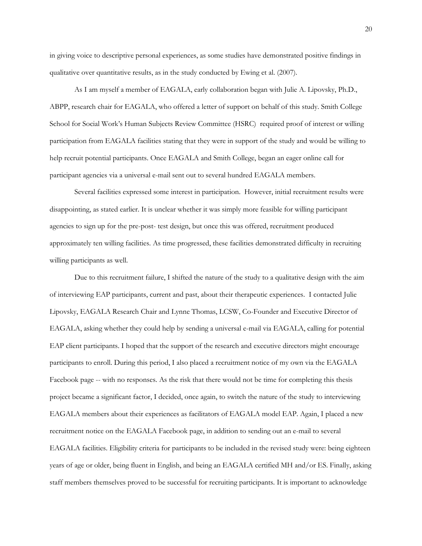in giving voice to descriptive personal experiences, as some studies have demonstrated positive findings in qualitative over quantitative results, as in the study conducted by Ewing et al. (2007).

As I am myself a member of EAGALA, early collaboration began with Julie A. Lipovsky, Ph.D., ABPP, research chair for EAGALA, who offered a letter of support on behalf of this study. Smith College School for Social Work's Human Subjects Review Committee (HSRC) required proof of interest or willing participation from EAGALA facilities stating that they were in support of the study and would be willing to help recruit potential participants. Once EAGALA and Smith College, began an eager online call for participant agencies via a universal e-mail sent out to several hundred EAGALA members.

Several facilities expressed some interest in participation. However, initial recruitment results were disappointing, as stated earlier. It is unclear whether it was simply more feasible for willing participant agencies to sign up for the pre-post- test design, but once this was offered, recruitment produced approximately ten willing facilities. As time progressed, these facilities demonstrated difficulty in recruiting willing participants as well.

Due to this recruitment failure, I shifted the nature of the study to a qualitative design with the aim of interviewing EAP participants, current and past, about their therapeutic experiences. I contacted Julie Lipovsky, EAGALA Research Chair and Lynne Thomas, LCSW, Co-Founder and Executive Director of EAGALA, asking whether they could help by sending a universal e-mail via EAGALA, calling for potential EAP client participants. I hoped that the support of the research and executive directors might encourage participants to enroll. During this period, I also placed a recruitment notice of my own via the EAGALA Facebook page -- with no responses. As the risk that there would not be time for completing this thesis project became a significant factor, I decided, once again, to switch the nature of the study to interviewing EAGALA members about their experiences as facilitators of EAGALA model EAP. Again, I placed a new recruitment notice on the EAGALA Facebook page, in addition to sending out an e-mail to several EAGALA facilities. Eligibility criteria for participants to be included in the revised study were: being eighteen years of age or older, being fluent in English, and being an EAGALA certified MH and/or ES. Finally, asking staff members themselves proved to be successful for recruiting participants. It is important to acknowledge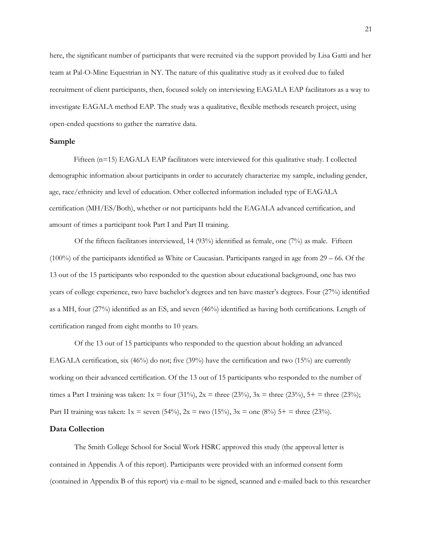here, the significant number of participants that were recruited via the support provided by Lisa Gatti and her team at Pal-O-Mine Equestrian in NY. The nature of this qualitative study as it evolved due to failed recruitment of client participants, then, focused solely on interviewing EAGALA EAP facilitators as a way to investigate EAGALA method EAP. The study was a qualitative, flexible methods research project, using open-ended questions to gather the narrative data.

#### <span id="page-27-0"></span>**Sample**

Fifteen (n=15) EAGALA EAP facilitators were interviewed for this qualitative study. I collected demographic information about participants in order to accurately characterize my sample, including gender, age, race/ethnicity and level of education. Other collected information included type of EAGALA certification (MH/ES/Both), whether or not participants held the EAGALA advanced certification, and amount of times a participant took Part I and Part II training.

Of the fifteen facilitators interviewed, 14 (93%) identified as female, one (7%) as male. Fifteen  $(100\%)$  of the participants identified as White or Caucasian. Participants ranged in age from 29 – 66. Of the 13 out of the 15 participants who responded to the question about educational background, one has two years of college experience, two have bachelor's degrees and ten have master's degrees. Four (27%) identified as a MH, four (27%) identified as an ES, and seven (46%) identified as having both certifications. Length of certification ranged from eight months to 10 years.

Of the 13 out of 15 participants who responded to the question about holding an advanced EAGALA certification, six (46%) do not; five (39%) have the certification and two (15%) are currently working on their advanced certification. Of the 13 out of 15 participants who responded to the number of times a Part I training was taken:  $1x =$  four (31%),  $2x =$  three (23%),  $3x =$  three (23%),  $5 +$  = three (23%); Part II training was taken:  $1x =$  seven  $(54\%)$ ,  $2x =$  two  $(15\%)$ ,  $3x =$  one  $(8\%)$   $5 +$  = three  $(23\%)$ .

#### <span id="page-27-1"></span>**Data Collection**

The Smith College School for Social Work HSRC approved this study (the approval letter is contained in Appendix A of this report). Participants were provided with an informed consent form (contained in Appendix B of this report) via e-mail to be signed, scanned and e-mailed back to this researcher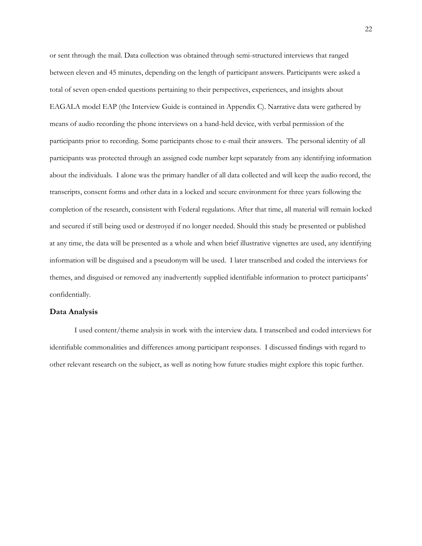or sent through the mail. Data collection was obtained through semi-structured interviews that ranged between eleven and 45 minutes, depending on the length of participant answers. Participants were asked a total of seven open-ended questions pertaining to their perspectives, experiences, and insights about EAGALA model EAP (the Interview Guide is contained in Appendix C). Narrative data were gathered by means of audio recording the phone interviews on a hand-held device, with verbal permission of the participants prior to recording. Some participants chose to e-mail their answers. The personal identity of all participants was protected through an assigned code number kept separately from any identifying information about the individuals. I alone was the primary handler of all data collected and will keep the audio record, the transcripts, consent forms and other data in a locked and secure environment for three years following the completion of the research, consistent with Federal regulations. After that time, all material will remain locked and secured if still being used or destroyed if no longer needed. Should this study be presented or published at any time, the data will be presented as a whole and when brief illustrative vignettes are used, any identifying information will be disguised and a pseudonym will be used. I later transcribed and coded the interviews for themes, and disguised or removed any inadvertently supplied identifiable information to protect participants' confidentially.

#### <span id="page-28-0"></span>**Data Analysis**

I used content/theme analysis in work with the interview data. I transcribed and coded interviews for identifiable commonalities and differences among participant responses. I discussed findings with regard to other relevant research on the subject, as well as noting how future studies might explore this topic further.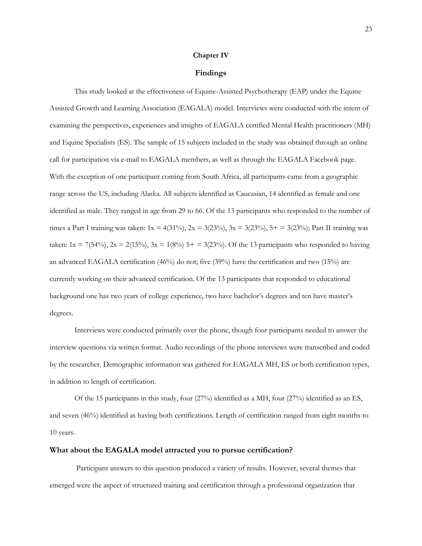#### **Chapter IV**

#### **Findings**

<span id="page-29-0"></span>This study looked at the effectiveness of Equine-Assisted Psychotherapy (EAP) under the Equine Assisted Growth and Learning Association (EAGALA) model. Interviews were conducted with the intent of examining the perspectives, experiences and insights of EAGALA certified Mental Health practitioners (MH) and Equine Specialists (ES). The sample of 15 subjects included in the study was obtained through an online call for participation via e-mail to EAGALA members, as well as through the EAGALA Facebook page. With the exception of one participant coming from South Africa, all participants came from a geographic range across the US, including Alaska. All subjects identified as Caucasian, 14 identified as female and one identified as male. They ranged in age from 29 to 66. Of the 13 participants who responded to the number of times a Part I training was taken:  $1x = 4(31\%)$ ,  $2x = 3(23\%)$ ,  $3x = 3(23\%)$ ,  $5 + 3(23\%)$ ; Part II training was taken:  $1x = 7(54\%)$ ,  $2x = 2(15\%)$ ,  $3x = 1(8\%)$  5+ = 3(23%). Of the 13 participants who responded to having an advanced EAGALA certification (46%) do not; five (39%) have the certification and two (15%) are currently working on their advanced certification. Of the 13 participants that responded to educational background one has two years of college experience, two have bachelor's degrees and ten have master's degrees.

Interviews were conducted primarily over the phone, though four participants needed to answer the interview questions via written format. Audio recordings of the phone interviews were transcribed and coded by the researcher. Demographic information was gathered for EAGALA MH, ES or both certification types, in addition to length of certification.

Of the 15 participants in this study, four (27%) identified as a MH, four (27%) identified as an ES, and seven (46%) identified as having both certifications. Length of certification ranged from eight months to 10 years.

#### <span id="page-29-1"></span>**What about the EAGALA model attracted you to pursue certification?**

Participant answers to this question produced a variety of results. However, several themes that emerged were the aspect of structured training and certification through a professional organization that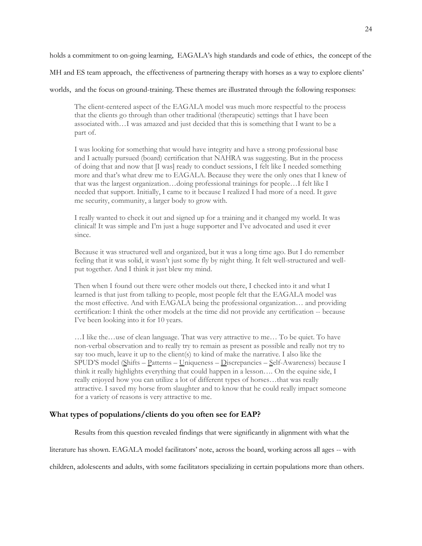holds a commitment to on-going learning, EAGALA's high standards and code of ethics, the concept of the

MH and ES team approach, the effectiveness of partnering therapy with horses as a way to explore clients'

worlds, and the focus on ground-training. These themes are illustrated through the following responses:

The client-centered aspect of the EAGALA model was much more respectful to the process that the clients go through than other traditional (therapeutic) settings that I have been associated with…I was amazed and just decided that this is something that I want to be a part of.

I was looking for something that would have integrity and have a strong professional base and I actually pursued (board) certification that NAHRA was suggesting. But in the process of doing that and now that [I was] ready to conduct sessions, I felt like I needed something more and that's what drew me to EAGALA. Because they were the only ones that I knew of that was the largest organization…doing professional trainings for people…I felt like I needed that support. Initially, I came to it because I realized I had more of a need. It gave me security, community, a larger body to grow with.

I really wanted to check it out and signed up for a training and it changed my world. It was clinical! It was simple and I'm just a huge supporter and I've advocated and used it ever since.

Because it was structured well and organized, but it was a long time ago. But I do remember feeling that it was solid, it wasn't just some fly by night thing. It felt well-structured and wellput together. And I think it just blew my mind.

Then when I found out there were other models out there, I checked into it and what I learned is that just from talking to people, most people felt that the EAGALA model was the most effective. And with EAGALA being the professional organization… and providing certification: I think the other models at the time did not provide any certification -- because I've been looking into it for 10 years.

…I like the…use of clean language. That was very attractive to me… To be quiet. To have non-verbal observation and to really try to remain as present as possible and really not try to say too much, leave it up to the client(s) to kind of make the narrative. I also like the SPUD'S model (Shifts – Patterns – Uniqueness – Discrepancies – Self-Awareness) because I think it really highlights everything that could happen in a lesson…. On the equine side, I really enjoyed how you can utilize a lot of different types of horses…that was really attractive. I saved my horse from slaughter and to know that he could really impact someone for a variety of reasons is very attractive to me.

#### <span id="page-30-0"></span>**What types of populations/clients do you often see for EAP?**

Results from this question revealed findings that were significantly in alignment with what the

literature has shown. EAGALA model facilitators' note, across the board, working across all ages -- with

children, adolescents and adults, with some facilitators specializing in certain populations more than others.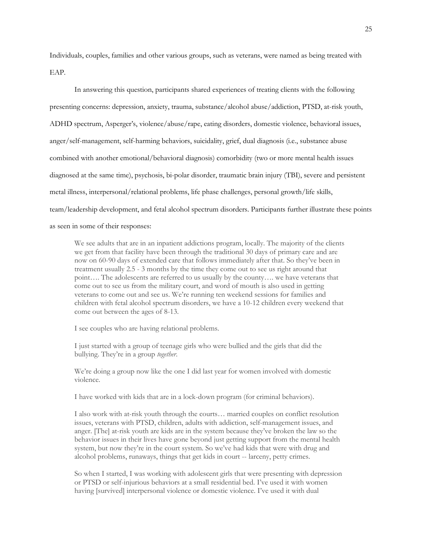Individuals, couples, families and other various groups, such as veterans, were named as being treated with EAP.

In answering this question, participants shared experiences of treating clients with the following presenting concerns: depression, anxiety, trauma, substance/alcohol abuse/addiction, PTSD, at-risk youth, ADHD spectrum, Asperger's, violence/abuse/rape, eating disorders, domestic violence, behavioral issues, anger/self-management, self-harming behaviors, suicidality, grief, dual diagnosis (i.e., substance abuse combined with another emotional/behavioral diagnosis) comorbidity (two or more mental health issues diagnosed at the same time), psychosis, bi-polar disorder, traumatic brain injury (TBI), severe and persistent metal illness, interpersonal/relational problems, life phase challenges, personal growth/life skills, team/leadership development, and fetal alcohol spectrum disorders. Participants further illustrate these points as seen in some of their responses:

We see adults that are in an inpatient addictions program, locally. The majority of the clients we get from that facility have been through the traditional 30 days of primary care and are now on 60-90 days of extended care that follows immediately after that. So they've been in treatment usually 2.5 - 3 months by the time they come out to see us right around that point…. The adolescents are referred to us usually by the county…. we have veterans that come out to see us from the military court, and word of mouth is also used in getting veterans to come out and see us. We're running ten weekend sessions for families and children with fetal alcohol spectrum disorders, we have a 10-12 children every weekend that come out between the ages of 8-13.

I see couples who are having relational problems.

I just started with a group of teenage girls who were bullied and the girls that did the bullying. They're in a group *together*.

We're doing a group now like the one I did last year for women involved with domestic violence.

I have worked with kids that are in a lock-down program (for criminal behaviors).

I also work with at-risk youth through the courts… married couples on conflict resolution issues, veterans with PTSD, children, adults with addiction, self-management issues, and anger. [The] at-risk youth are kids are in the system because they've broken the law so the behavior issues in their lives have gone beyond just getting support from the mental health system, but now they're in the court system. So we've had kids that were with drug and alcohol problems, runaways, things that get kids in court -- larceny, petty crimes.

So when I started, I was working with adolescent girls that were presenting with depression or PTSD or self-injurious behaviors at a small residential bed. I've used it with women having [survived] interpersonal violence or domestic violence. I've used it with dual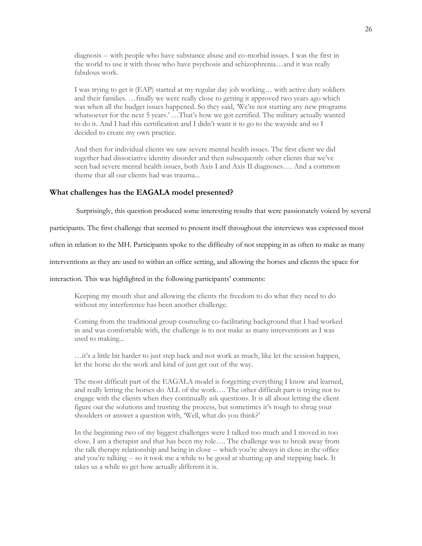diagnosis -- with people who have substance abuse and co-morbid issues. I was the first in the world to use it with those who have psychosis and schizophrenia…and it was really fabulous work.

I was trying to get it (EAP) started at my regular day job working… with active duty soldiers and their families. …finally we were really close to getting it approved two years ago which was when all the budget issues happened. So they said, 'We're not starting any new programs whatsoever for the next 5 years.' …That's how we got certified. The military actually wanted to do it. And I had this certification and I didn't want it to go to the wayside and so I decided to create my own practice.

And then for individual clients we saw severe mental health issues. The first client we did together had dissociative identity disorder and then subsequently other clients that we've seen had severe mental health issues, both Axis I and Axis II diagnoses…. And a common theme that all our clients had was trauma...

#### <span id="page-32-0"></span>**What challenges has the EAGALA model presented?**

Surprisingly, this question produced some interesting results that were passionately voiced by several

participants. The first challenge that seemed to present itself throughout the interviews was expressed most

often in relation to the MH. Participants spoke to the difficulty of not stepping in as often to make as many

interventions as they are used to within an office setting, and allowing the horses and clients the space for

interaction. This was highlighted in the following participants' comments:

Keeping my mouth shut and allowing the clients the freedom to do what they need to do without my interference has been another challenge.

Coming from the traditional group counseling co-facilitating background that I had worked in and was comfortable with, the challenge is to not make as many interventions as I was used to making...

…it's a little bit harder to just step back and not work as much, like let the session happen, let the horse do the work and kind of just get out of the way.

The most difficult part of the EAGALA model is forgetting everything I know and learned, and really letting the horses do ALL of the work…. The other difficult part is trying not to engage with the clients when they continually ask questions. It is all about letting the client figure out the solutions and trusting the process, but sometimes it's tough to shrug your shoulders or answer a question with, 'Well, what do you think?'

In the beginning two of my biggest challenges were I talked too much and I moved in too close. I am a therapist and that has been my role…. The challenge was to break away from the talk therapy relationship and being in close -- which you're always in close in the office and you're talking -- so it took me a while to be good at shutting up and stepping back. It takes us a while to get how actually different it is.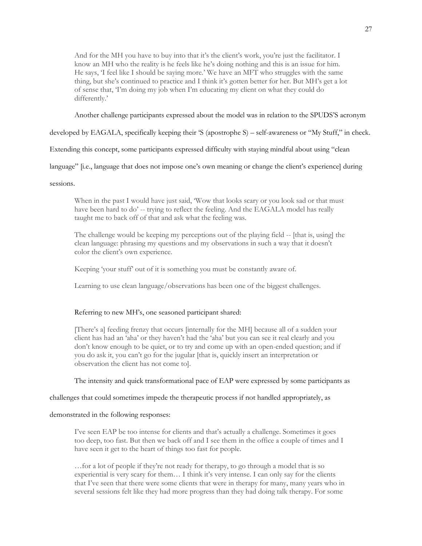And for the MH you have to buy into that it's the client's work, you're just the facilitator. I know an MH who the reality is he feels like he's doing nothing and this is an issue for him. He says, 'I feel like I should be saying more.' We have an MFT who struggles with the same thing, but she's continued to practice and I think it's gotten better for her. But MH's get a lot of sense that, 'I'm doing my job when I'm educating my client on what they could do differently.'

Another challenge participants expressed about the model was in relation to the SPUDS'S acronym

developed by EAGALA, specifically keeping their 'S (apostrophe S) – self-awareness or "My Stuff," in check.

Extending this concept, some participants expressed difficulty with staying mindful about using "clean

language" [i.e., language that does not impose one's own meaning or change the client's experience] during

sessions.

When in the past I would have just said, 'Wow that looks scary or you look sad or that must have been hard to do' -- trying to reflect the feeling. And the EAGALA model has really taught me to back off of that and ask what the feeling was.

The challenge would be keeping my perceptions out of the playing field -- [that is, using] the clean language: phrasing my questions and my observations in such a way that it doesn't color the client's own experience.

Keeping 'your stuff' out of it is something you must be constantly aware of.

Learning to use clean language/observations has been one of the biggest challenges.

# Referring to new MH's, one seasoned participant shared:

[There's a] feeding frenzy that occurs [internally for the MH] because all of a sudden your client has had an 'aha' or they haven't had the 'aha' but you can see it real clearly and you don't know enough to be quiet, or to try and come up with an open-ended question; and if you do ask it, you can't go for the jugular [that is, quickly insert an interpretation or observation the client has not come to].

The intensity and quick transformational pace of EAP were expressed by some participants as

challenges that could sometimes impede the therapeutic process if not handled appropriately, as

#### demonstrated in the following responses:

I've seen EAP be too intense for clients and that's actually a challenge. Sometimes it goes too deep, too fast. But then we back off and I see them in the office a couple of times and I have seen it get to the heart of things too fast for people.

…for a lot of people if they're not ready for therapy, to go through a model that is so experiential is very scary for them… I think it's very intense. I can only say for the clients that I've seen that there were some clients that were in therapy for many, many years who in several sessions felt like they had more progress than they had doing talk therapy. For some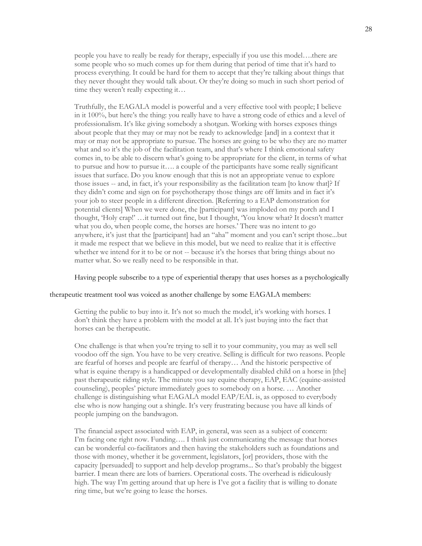people you have to really be ready for therapy, especially if you use this model….there are some people who so much comes up for them during that period of time that it's hard to process everything. It could be hard for them to accept that they're talking about things that they never thought they would talk about. Or they're doing so much in such short period of time they weren't really expecting it…

Truthfully, the EAGALA model is powerful and a very effective tool with people; I believe in it 100%, but here's the thing: you really have to have a strong code of ethics and a level of professionalism. It's like giving somebody a shotgun. Working with horses exposes things about people that they may or may not be ready to acknowledge [and] in a context that it may or may not be appropriate to pursue. The horses are going to be who they are no matter what and so it's the job of the facilitation team, and that's where I think emotional safety comes in, to be able to discern what's going to be appropriate for the client, in terms of what to pursue and how to pursue it…. a couple of the participants have some really significant issues that surface. Do you know enough that this is not an appropriate venue to explore those issues -- and, in fact, it's your responsibility as the facilitation team [to know that]? If they didn't come and sign on for psychotherapy those things are off limits and in fact it's your job to steer people in a different direction. [Referring to a EAP demonstration for potential clients] When we were done, the [participant] was imploded on my porch and I thought, 'Holy crap!' …it turned out fine, but I thought, 'You know what? It doesn't matter what you do, when people come, the horses are horses.' There was no intent to go anywhere, it's just that the [participant] had an "aha" moment and you can't script those...but it made me respect that we believe in this model, but we need to realize that it is effective whether we intend for it to be or not -- because it's the horses that bring things about no matter what. So we really need to be responsible in that.

Having people subscribe to a type of experiential therapy that uses horses as a psychologically

#### therapeutic treatment tool was voiced as another challenge by some EAGALA members:

Getting the public to buy into it. It's not so much the model, it's working with horses. I don't think they have a problem with the model at all. It's just buying into the fact that horses can be therapeutic.

One challenge is that when you're trying to sell it to your community, you may as well sell voodoo off the sign. You have to be very creative. Selling is difficult for two reasons. People are fearful of horses and people are fearful of therapy… And the historic perspective of what is equine therapy is a handicapped or developmentally disabled child on a horse in [the] past therapeutic riding style. The minute you say equine therapy, EAP, EAC (equine-assisted counseling), peoples' picture immediately goes to somebody on a horse. … Another challenge is distinguishing what EAGALA model EAP/EAL is, as opposed to everybody else who is now hanging out a shingle. It's very frustrating because you have all kinds of people jumping on the bandwagon.

The financial aspect associated with EAP, in general, was seen as a subject of concern: I'm facing one right now. Funding…. I think just communicating the message that horses can be wonderful co-facilitators and then having the stakeholders such as foundations and those with money, whether it be government, legislators, [or] providers, those with the capacity [persuaded] to support and help develop programs... So that's probably the biggest barrier. I mean there are lots of barriers. Operational costs. The overhead is ridiculously high. The way I'm getting around that up here is I've got a facility that is willing to donate ring time, but we're going to lease the horses.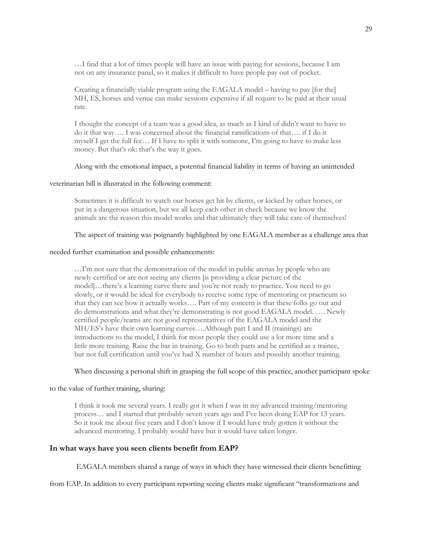…I find that a lot of times people will have an issue with paying for sessions, because I am not on any insurance panel, so it makes it difficult to have people pay out of pocket.

Creating a financially viable program using the EAGALA model – having to pay [for the] MH, ES, horses and venue can make sessions expensive if all require to be paid at their usual rate.

I thought the concept of a team was a good idea, as much as I kind of didn't want to have to do it that way…. I was concerned about the financial ramifications of that…. if I do it myself I get the full fee… If I have to split it with someone, I'm going to have to make less money. But that's ok: that's the way it goes.

# Along with the emotional impact, a potential financial liability in terms of having an unintended

#### veterinarian bill is illustrated in the following comment:

Sometimes it is difficult to watch our horses get hit by clients, or kicked by other horses, or put in a dangerous situation, but we all keep each other in check because we know the animals are the reason this model works and that ultimately they will take care of themselves!

# The aspect of training was poignantly highlighted by one EAGALA member as a challenge area that

#### needed further examination and possible enhancements:

…I'm not sure that the demonstration of the model in public arenas by people who are newly certified or are not seeing any clients [is providing a clear picture of the model]…there's a learning curve there and you're not ready to practice. You need to go slowly, or it would be ideal for everybody to receive some type of mentoring or practicum so that they can see how it actually works…. Part of my concern is that these folks go out and do demonstrations and what they're demonstrating is not good EAGALA model. …. Newly certified people/teams are not good representatives of the EAGALA model and the MH/ES's have their own learning curves….Although part I and II (trainings) are introductions to the model, I think for most people they could use a lot more time and a little more training. Raise the bar in training. Go to both parts and be certified as a trainee, but not full certification until you've had X number of hours and possibly another training.

# When discussing a personal shift in grasping the full scope of this practice, another participant spoke

# to the value of further training, sharing:

I think it took me several years. I really got it when I was in my advanced training/mentoring process… and I started that probably seven years ago and I've been doing EAP for 13 years. So it took me about five years and I don't know if I would have truly gotten it without the advanced mentoring. I probably would have but it would have taken longer.

# <span id="page-35-0"></span>**In what ways have you seen clients benefit from EAP?**

EAGALA members shared a range of ways in which they have witnessed their clients benefitting

from EAP. In addition to every participant reporting seeing clients make significant "transformations and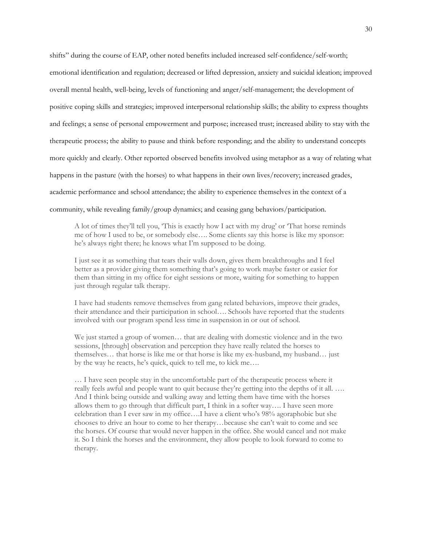shifts" during the course of EAP, other noted benefits included increased self-confidence/self-worth; emotional identification and regulation; decreased or lifted depression, anxiety and suicidal ideation; improved overall mental health, well-being, levels of functioning and anger/self-management; the development of positive coping skills and strategies; improved interpersonal relationship skills; the ability to express thoughts and feelings; a sense of personal empowerment and purpose; increased trust; increased ability to stay with the therapeutic process; the ability to pause and think before responding; and the ability to understand concepts more quickly and clearly. Other reported observed benefits involved using metaphor as a way of relating what happens in the pasture (with the horses) to what happens in their own lives/recovery; increased grades, academic performance and school attendance; the ability to experience themselves in the context of a community, while revealing family/group dynamics; and ceasing gang behaviors/participation.

A lot of times they'll tell you, 'This is exactly how I act with my drug' or 'That horse reminds me of how I used to be, or somebody else…. Some clients say this horse is like my sponsor: he's always right there; he knows what I'm supposed to be doing.

I just see it as something that tears their walls down, gives them breakthroughs and I feel better as a provider giving them something that's going to work maybe faster or easier for them than sitting in my office for eight sessions or more, waiting for something to happen just through regular talk therapy.

I have had students remove themselves from gang related behaviors, improve their grades, their attendance and their participation in school…. Schools have reported that the students involved with our program spend less time in suspension in or out of school.

We just started a group of women… that are dealing with domestic violence and in the two sessions, [through] observation and perception they have really related the horses to themselves… that horse is like me or that horse is like my ex-husband, my husband… just by the way he reacts, he's quick, quick to tell me, to kick me….

… I have seen people stay in the uncomfortable part of the therapeutic process where it really feels awful and people want to quit because they're getting into the depths of it all. …. And I think being outside and walking away and letting them have time with the horses allows them to go through that difficult part, I think in a softer way…. I have seen more celebration than I ever saw in my office….I have a client who's 98% agoraphobic but she chooses to drive an hour to come to her therapy…because she can't wait to come and see the horses. Of course that would never happen in the office. She would cancel and not make it. So I think the horses and the environment, they allow people to look forward to come to therapy.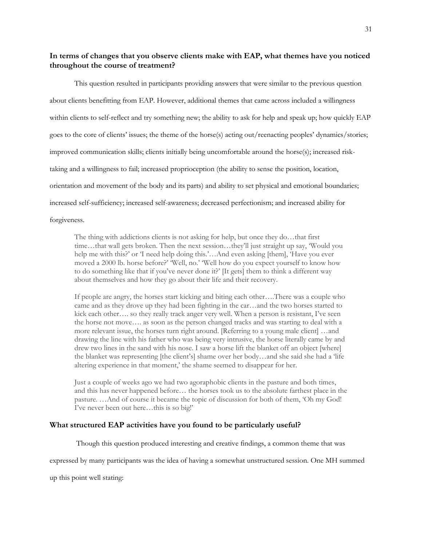# <span id="page-37-0"></span>**In terms of changes that you observe clients make with EAP, what themes have you noticed throughout the course of treatment?**

This question resulted in participants providing answers that were similar to the previous question about clients benefitting from EAP. However, additional themes that came across included a willingness within clients to self-reflect and try something new; the ability to ask for help and speak up; how quickly EAP goes to the core of clients' issues; the theme of the horse(s) acting out/reenacting peoples' dynamics/stories; improved communication skills; clients initially being uncomfortable around the horse(s); increased risktaking and a willingness to fail; increased proprioception (the ability to sense the position, location, orientation and movement of the body and its parts) and ability to set physical and emotional boundaries; increased self-sufficiency; increased self-awareness; decreased perfectionism; and increased ability for forgiveness.

The thing with addictions clients is not asking for help, but once they do…that first time…that wall gets broken. Then the next session…they'll just straight up say, 'Would you help me with this?' or 'I need help doing this.'…And even asking [them], 'Have you ever moved a 2000 lb. horse before?' 'Well, no.' 'Well how do you expect yourself to know how to do something like that if you've never done it?' [It gets] them to think a different way about themselves and how they go about their life and their recovery.

If people are angry, the horses start kicking and biting each other….There was a couple who came and as they drove up they had been fighting in the car…and the two horses started to kick each other…. so they really track anger very well. When a person is resistant, I've seen the horse not move…. as soon as the person changed tracks and was starting to deal with a more relevant issue, the horses turn right around. [Referring to a young male client] …and drawing the line with his father who was being very intrusive, the horse literally came by and drew two lines in the sand with his nose. I saw a horse lift the blanket off an object [where] the blanket was representing [the client's] shame over her body…and she said she had a 'life altering experience in that moment,' the shame seemed to disappear for her.

Just a couple of weeks ago we had two agoraphobic clients in the pasture and both times, and this has never happened before… the horses took us to the absolute farthest place in the pasture. …And of course it became the topic of discussion for both of them, 'Oh my God! I've never been out here…this is so big!'

#### <span id="page-37-1"></span>**What structured EAP activities have you found to be particularly useful?**

Though this question produced interesting and creative findings, a common theme that was

expressed by many participants was the idea of having a somewhat unstructured session. One MH summed

up this point well stating: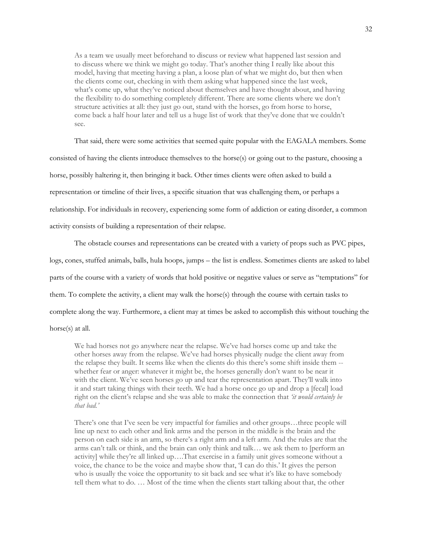As a team we usually meet beforehand to discuss or review what happened last session and to discuss where we think we might go today. That's another thing I really like about this model, having that meeting having a plan, a loose plan of what we might do, but then when the clients come out, checking in with them asking what happened since the last week, what's come up, what they've noticed about themselves and have thought about, and having the flexibility to do something completely different. There are some clients where we don't structure activities at all: they just go out, stand with the horses, go from horse to horse, come back a half hour later and tell us a huge list of work that they've done that we couldn't see.

That said, there were some activities that seemed quite popular with the EAGALA members. Some consisted of having the clients introduce themselves to the horse(s) or going out to the pasture, choosing a horse, possibly haltering it, then bringing it back. Other times clients were often asked to build a representation or timeline of their lives, a specific situation that was challenging them, or perhaps a relationship. For individuals in recovery, experiencing some form of addiction or eating disorder, a common activity consists of building a representation of their relapse.

The obstacle courses and representations can be created with a variety of props such as PVC pipes, logs, cones, stuffed animals, balls, hula hoops, jumps – the list is endless. Sometimes clients are asked to label parts of the course with a variety of words that hold positive or negative values or serve as "temptations" for them. To complete the activity, a client may walk the horse(s) through the course with certain tasks to complete along the way. Furthermore, a client may at times be asked to accomplish this without touching the

horse(s) at all.

We had horses not go anywhere near the relapse. We've had horses come up and take the other horses away from the relapse. We've had horses physically nudge the client away from the relapse they built. It seems like when the clients do this there's some shift inside them - whether fear or anger: whatever it might be, the horses generally don't want to be near it with the client. We've seen horses go up and tear the representation apart. They'll walk into it and start taking things with their teeth. We had a horse once go up and drop a [fecal] load right on the client's relapse and she was able to make the connection that *'it would certainly be that bad.'* 

There's one that I've seen be very impactful for families and other groups…three people will line up next to each other and link arms and the person in the middle is the brain and the person on each side is an arm, so there's a right arm and a left arm. And the rules are that the arms can't talk or think, and the brain can only think and talk… we ask them to [perform an activity] while they're all linked up….That exercise in a family unit gives someone without a voice, the chance to be the voice and maybe show that, 'I can do this.' It gives the person who is usually the voice the opportunity to sit back and see what it's like to have somebody tell them what to do. … Most of the time when the clients start talking about that, the other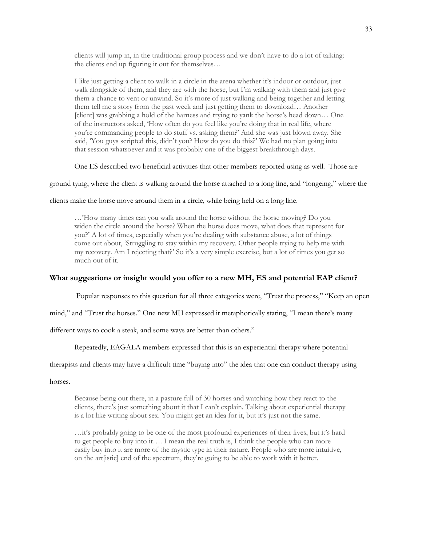clients will jump in, in the traditional group process and we don't have to do a lot of talking: the clients end up figuring it out for themselves…

I like just getting a client to walk in a circle in the arena whether it's indoor or outdoor, just walk alongside of them, and they are with the horse, but I'm walking with them and just give them a chance to vent or unwind. So it's more of just walking and being together and letting them tell me a story from the past week and just getting them to download… Another [client] was grabbing a hold of the harness and trying to yank the horse's head down… One of the instructors asked, 'How often do you feel like you're doing that in real life, where you're commanding people to do stuff vs. asking them?' And she was just blown away. She said, 'You guys scripted this, didn't you? How do you do this?' We had no plan going into that session whatsoever and it was probably one of the biggest breakthrough days.

One ES described two beneficial activities that other members reported using as well. Those are

ground tying, where the client is walking around the horse attached to a long line, and "longeing," where the

clients make the horse move around them in a circle, while being held on a long line.

…'How many times can you walk around the horse without the horse moving? Do you widen the circle around the horse? When the horse does move, what does that represent for you?' A lot of times, especially when you're dealing with substance abuse, a lot of things come out about, 'Struggling to stay within my recovery. Other people trying to help me with my recovery. Am I rejecting that?' So it's a very simple exercise, but a lot of times you get so much out of it.

#### <span id="page-39-0"></span>**What suggestions or insight would you offer to a new MH, ES and potential EAP client?**

Popular responses to this question for all three categories were, "Trust the process," "Keep an open

mind," and "Trust the horses." One new MH expressed it metaphorically stating, "I mean there's many

different ways to cook a steak, and some ways are better than others."

Repeatedly, EAGALA members expressed that this is an experiential therapy where potential

therapists and clients may have a difficult time "buying into" the idea that one can conduct therapy using

horses.

Because being out there, in a pasture full of 30 horses and watching how they react to the clients, there's just something about it that I can't explain. Talking about experiential therapy is a lot like writing about sex. You might get an idea for it, but it's just not the same.

…it's probably going to be one of the most profound experiences of their lives, but it's hard to get people to buy into it…. I mean the real truth is, I think the people who can more easily buy into it are more of the mystic type in their nature. People who are more intuitive, on the art[istic] end of the spectrum, they're going to be able to work with it better.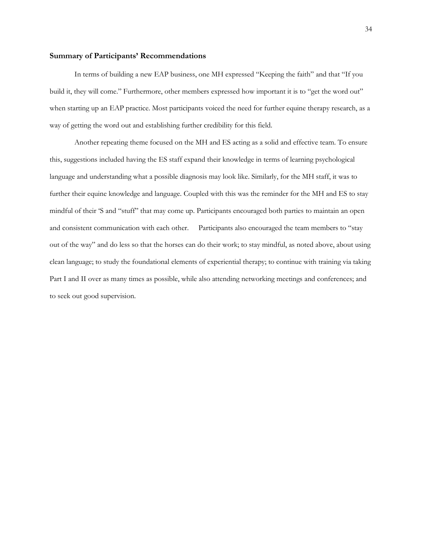# <span id="page-40-0"></span>**Summary of Participants' Recommendations**

In terms of building a new EAP business, one MH expressed "Keeping the faith" and that "If you build it, they will come." Furthermore, other members expressed how important it is to "get the word out" when starting up an EAP practice. Most participants voiced the need for further equine therapy research, as a way of getting the word out and establishing further credibility for this field.

Another repeating theme focused on the MH and ES acting as a solid and effective team. To ensure this, suggestions included having the ES staff expand their knowledge in terms of learning psychological language and understanding what a possible diagnosis may look like. Similarly, for the MH staff, it was to further their equine knowledge and language. Coupled with this was the reminder for the MH and ES to stay mindful of their 'S and "stuff" that may come up. Participants encouraged both parties to maintain an open and consistent communication with each other. Participants also encouraged the team members to "stay out of the way" and do less so that the horses can do their work; to stay mindful, as noted above, about using clean language; to study the foundational elements of experiential therapy; to continue with training via taking Part I and II over as many times as possible, while also attending networking meetings and conferences; and to seek out good supervision.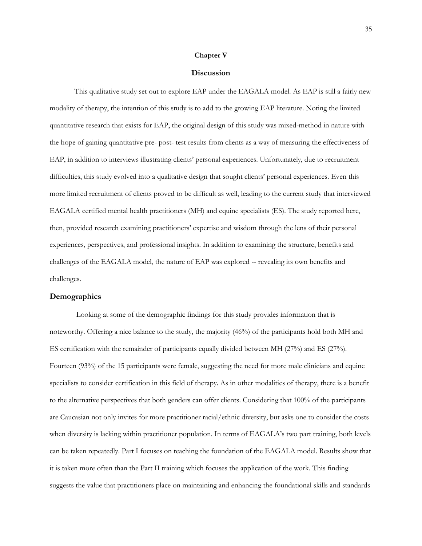#### **Chapter V**

#### **Discussion**

<span id="page-41-0"></span>This qualitative study set out to explore EAP under the EAGALA model. As EAP is still a fairly new modality of therapy, the intention of this study is to add to the growing EAP literature. Noting the limited quantitative research that exists for EAP, the original design of this study was mixed-method in nature with the hope of gaining quantitative pre- post- test results from clients as a way of measuring the effectiveness of EAP, in addition to interviews illustrating clients' personal experiences. Unfortunately, due to recruitment difficulties, this study evolved into a qualitative design that sought clients' personal experiences. Even this more limited recruitment of clients proved to be difficult as well, leading to the current study that interviewed EAGALA certified mental health practitioners (MH) and equine specialists (ES). The study reported here, then, provided research examining practitioners' expertise and wisdom through the lens of their personal experiences, perspectives, and professional insights. In addition to examining the structure, benefits and challenges of the EAGALA model, the nature of EAP was explored -- revealing its own benefits and challenges.

# <span id="page-41-1"></span>**Demographics**

Looking at some of the demographic findings for this study provides information that is noteworthy. Offering a nice balance to the study, the majority (46%) of the participants hold both MH and ES certification with the remainder of participants equally divided between MH (27%) and ES (27%). Fourteen (93%) of the 15 participants were female, suggesting the need for more male clinicians and equine specialists to consider certification in this field of therapy. As in other modalities of therapy, there is a benefit to the alternative perspectives that both genders can offer clients. Considering that 100% of the participants are Caucasian not only invites for more practitioner racial/ethnic diversity, but asks one to consider the costs when diversity is lacking within practitioner population. In terms of EAGALA's two part training, both levels can be taken repeatedly. Part I focuses on teaching the foundation of the EAGALA model. Results show that it is taken more often than the Part II training which focuses the application of the work. This finding suggests the value that practitioners place on maintaining and enhancing the foundational skills and standards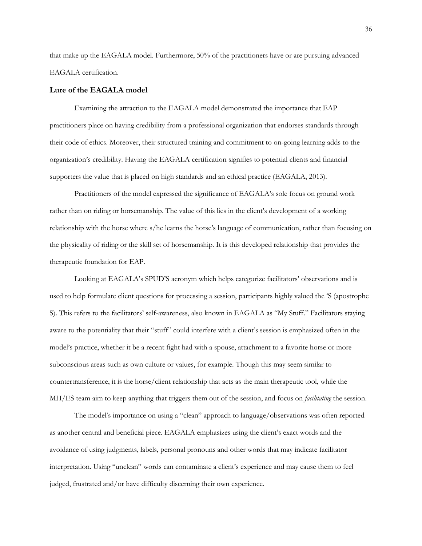that make up the EAGALA model. Furthermore, 50% of the practitioners have or are pursuing advanced EAGALA certification.

#### <span id="page-42-0"></span>**Lure of the EAGALA model**

Examining the attraction to the EAGALA model demonstrated the importance that EAP practitioners place on having credibility from a professional organization that endorses standards through their code of ethics. Moreover, their structured training and commitment to on-going learning adds to the organization's credibility. Having the EAGALA certification signifies to potential clients and financial supporters the value that is placed on high standards and an ethical practice (EAGALA, 2013).

Practitioners of the model expressed the significance of EAGALA's sole focus on ground work rather than on riding or horsemanship. The value of this lies in the client's development of a working relationship with the horse where s/he learns the horse's language of communication, rather than focusing on the physicality of riding or the skill set of horsemanship. It is this developed relationship that provides the therapeutic foundation for EAP.

Looking at EAGALA's SPUD'S acronym which helps categorize facilitators' observations and is used to help formulate client questions for processing a session, participants highly valued the 'S (apostrophe S). This refers to the facilitators' self-awareness, also known in EAGALA as "My Stuff." Facilitators staying aware to the potentiality that their "stuff" could interfere with a client's session is emphasized often in the model's practice, whether it be a recent fight had with a spouse, attachment to a favorite horse or more subconscious areas such as own culture or values, for example. Though this may seem similar to countertransference, it is the horse/client relationship that acts as the main therapeutic tool, while the MH/ES team aim to keep anything that triggers them out of the session, and focus on *facilitating* the session.

The model's importance on using a "clean" approach to language/observations was often reported as another central and beneficial piece. EAGALA emphasizes using the client's exact words and the avoidance of using judgments, labels, personal pronouns and other words that may indicate facilitator interpretation. Using "unclean" words can contaminate a client's experience and may cause them to feel judged, frustrated and/or have difficulty discerning their own experience.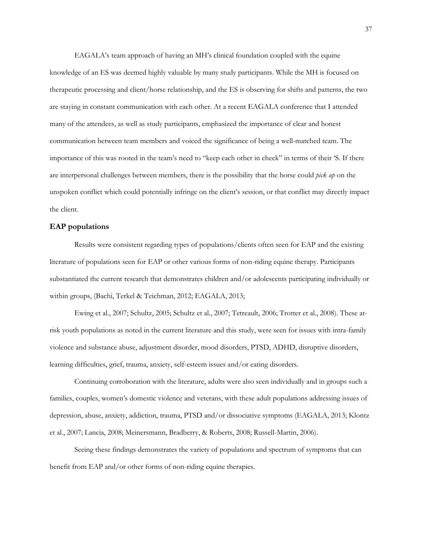EAGALA's team approach of having an MH's clinical foundation coupled with the equine knowledge of an ES was deemed highly valuable by many study participants. While the MH is focused on therapeutic processing and client/horse relationship, and the ES is observing for shifts and patterns, the two are staying in constant communication with each other. At a recent EAGALA conference that I attended many of the attendees, as well as study participants, emphasized the importance of clear and honest communication between team members and voiced the significance of being a well-matched team. The importance of this was rooted in the team's need to "keep each other in check" in terms of their 'S. If there are interpersonal challenges between members, there is the possibility that the horse could *pick up* on the unspoken conflict which could potentially infringe on the client's session, or that conflict may directly impact the client.

#### <span id="page-43-0"></span>**EAP populations**

Results were consistent regarding types of populations/clients often seen for EAP and the existing literature of populations seen for EAP or other various forms of non-riding equine therapy. Participants substantiated the current research that demonstrates children and/or adolescents participating individually or within groups, (Bachi, Terkel & Teichman, 2012; EAGALA, 2013;

Ewing et al., 2007; Schultz, 2005; Schultz et al., 2007; Tetreault, 2006; Trotter et al., 2008). These atrisk youth populations as noted in the current literature and this study, were seen for issues with intra-family violence and substance abuse, adjustment disorder, mood disorders, PTSD, ADHD, disruptive disorders, learning difficulties, grief, trauma, anxiety, self-esteem issues and/or eating disorders.

Continuing corroboration with the literature, adults were also seen individually and in groups such a families, couples, women's domestic violence and veterans, with these adult populations addressing issues of depression, abuse, anxiety, addiction, trauma, PTSD and/or dissociative symptoms (EAGALA, 2013; Klontz et al., 2007; Lancia, 2008; Meinersmann, Bradberry, & Roberts, 2008; Russell-Martin, 2006).

Seeing these findings demonstrates the variety of populations and spectrum of symptoms that can benefit from EAP and/or other forms of non-riding equine therapies.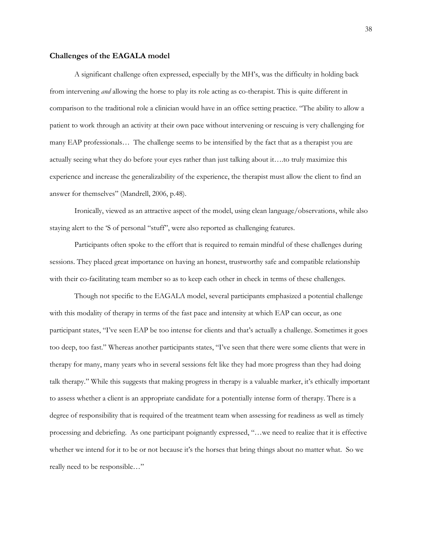#### <span id="page-44-0"></span>**Challenges of the EAGALA model**

A significant challenge often expressed, especially by the MH's, was the difficulty in holding back from intervening *and* allowing the horse to play its role acting as co-therapist. This is quite different in comparison to the traditional role a clinician would have in an office setting practice. "The ability to allow a patient to work through an activity at their own pace without intervening or rescuing is very challenging for many EAP professionals… The challenge seems to be intensified by the fact that as a therapist you are actually seeing what they do before your eyes rather than just talking about it….to truly maximize this experience and increase the generalizability of the experience, the therapist must allow the client to find an answer for themselves" (Mandrell, 2006, p.48).

Ironically, viewed as an attractive aspect of the model, using clean language/observations, while also staying alert to the 'S of personal "stuff", were also reported as challenging features.

Participants often spoke to the effort that is required to remain mindful of these challenges during sessions. They placed great importance on having an honest, trustworthy safe and compatible relationship with their co-facilitating team member so as to keep each other in check in terms of these challenges.

Though not specific to the EAGALA model, several participants emphasized a potential challenge with this modality of therapy in terms of the fast pace and intensity at which EAP can occur, as one participant states, "I've seen EAP be too intense for clients and that's actually a challenge. Sometimes it goes too deep, too fast." Whereas another participants states, "I've seen that there were some clients that were in therapy for many, many years who in several sessions felt like they had more progress than they had doing talk therapy." While this suggests that making progress in therapy is a valuable marker, it's ethically important to assess whether a client is an appropriate candidate for a potentially intense form of therapy. There is a degree of responsibility that is required of the treatment team when assessing for readiness as well as timely processing and debriefing. As one participant poignantly expressed, "…we need to realize that it is effective whether we intend for it to be or not because it's the horses that bring things about no matter what. So we really need to be responsible…"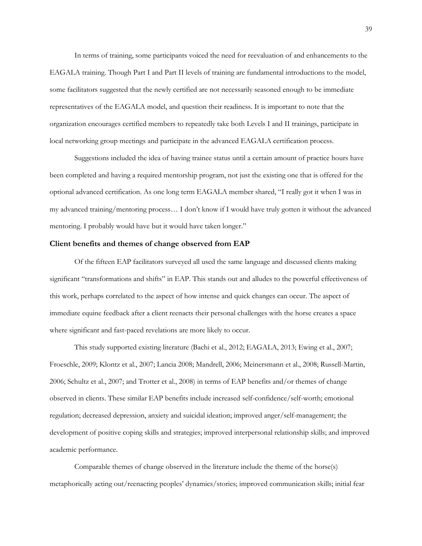In terms of training, some participants voiced the need for reevaluation of and enhancements to the EAGALA training. Though Part I and Part II levels of training are fundamental introductions to the model, some facilitators suggested that the newly certified are not necessarily seasoned enough to be immediate representatives of the EAGALA model, and question their readiness. It is important to note that the organization encourages certified members to repeatedly take both Levels I and II trainings, participate in local networking group meetings and participate in the advanced EAGALA certification process.

Suggestions included the idea of having trainee status until a certain amount of practice hours have been completed and having a required mentorship program, not just the existing one that is offered for the optional advanced certification. As one long term EAGALA member shared, "I really got it when I was in my advanced training/mentoring process… I don't know if I would have truly gotten it without the advanced mentoring. I probably would have but it would have taken longer."

# <span id="page-45-0"></span>**Client benefits and themes of change observed from EAP**

Of the fifteen EAP facilitators surveyed all used the same language and discussed clients making significant "transformations and shifts" in EAP. This stands out and alludes to the powerful effectiveness of this work, perhaps correlated to the aspect of how intense and quick changes can occur. The aspect of immediate equine feedback after a client reenacts their personal challenges with the horse creates a space where significant and fast-paced revelations are more likely to occur.

This study supported existing literature (Bachi et al., 2012; EAGALA, 2013; Ewing et al., 2007; Froeschle, 2009; Klontz et al., 2007; Lancia 2008; Mandrell, 2006; Meinersmann et al., 2008; Russell-Martin, 2006; Schultz et al., 2007; and Trotter et al., 2008) in terms of EAP benefits and/or themes of change observed in clients. These similar EAP benefits include increased self-confidence/self-worth; emotional regulation; decreased depression, anxiety and suicidal ideation; improved anger/self-management; the development of positive coping skills and strategies; improved interpersonal relationship skills; and improved academic performance.

Comparable themes of change observed in the literature include the theme of the horse(s) metaphorically acting out/reenacting peoples' dynamics/stories; improved communication skills; initial fear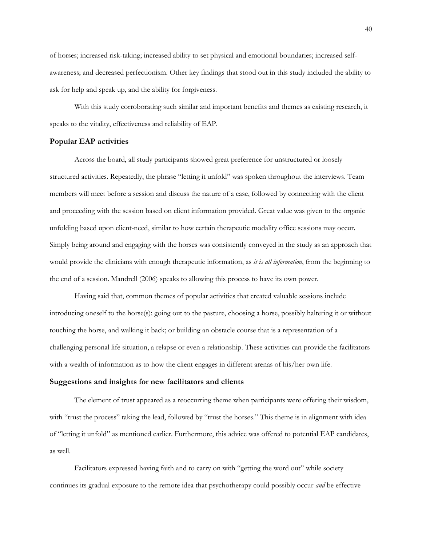of horses; increased risk-taking; increased ability to set physical and emotional boundaries; increased selfawareness; and decreased perfectionism. Other key findings that stood out in this study included the ability to ask for help and speak up, and the ability for forgiveness.

With this study corroborating such similar and important benefits and themes as existing research, it speaks to the vitality, effectiveness and reliability of EAP.

#### <span id="page-46-0"></span>**Popular EAP activities**

Across the board, all study participants showed great preference for unstructured or loosely structured activities. Repeatedly, the phrase "letting it unfold" was spoken throughout the interviews. Team members will meet before a session and discuss the nature of a case, followed by connecting with the client and proceeding with the session based on client information provided. Great value was given to the organic unfolding based upon client-need, similar to how certain therapeutic modality office sessions may occur. Simply being around and engaging with the horses was consistently conveyed in the study as an approach that would provide the clinicians with enough therapeutic information, as *it is all information*, from the beginning to the end of a session. Mandrell (2006) speaks to allowing this process to have its own power.

Having said that, common themes of popular activities that created valuable sessions include introducing oneself to the horse(s); going out to the pasture, choosing a horse, possibly haltering it or without touching the horse, and walking it back; or building an obstacle course that is a representation of a challenging personal life situation, a relapse or even a relationship. These activities can provide the facilitators with a wealth of information as to how the client engages in different arenas of his/her own life.

#### <span id="page-46-1"></span>**Suggestions and insights for new facilitators and clients**

The element of trust appeared as a reoccurring theme when participants were offering their wisdom, with "trust the process" taking the lead, followed by "trust the horses." This theme is in alignment with idea of "letting it unfold" as mentioned earlier. Furthermore, this advice was offered to potential EAP candidates, as well.

Facilitators expressed having faith and to carry on with "getting the word out" while society continues its gradual exposure to the remote idea that psychotherapy could possibly occur *and* be effective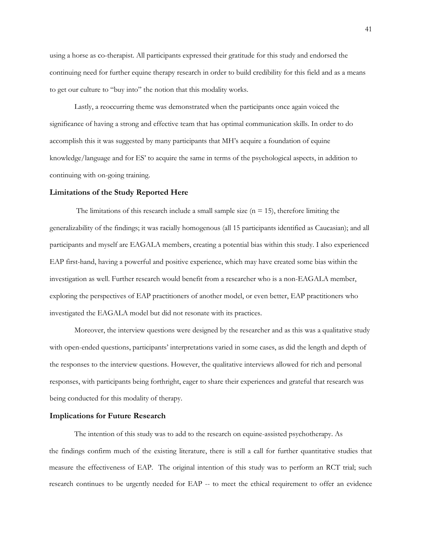using a horse as co-therapist. All participants expressed their gratitude for this study and endorsed the continuing need for further equine therapy research in order to build credibility for this field and as a means to get our culture to "buy into" the notion that this modality works.

Lastly, a reoccurring theme was demonstrated when the participants once again voiced the significance of having a strong and effective team that has optimal communication skills. In order to do accomplish this it was suggested by many participants that MH's acquire a foundation of equine knowledge/language and for ES' to acquire the same in terms of the psychological aspects, in addition to continuing with on-going training.

#### <span id="page-47-0"></span>**Limitations of the Study Reported Here**

The limitations of this research include a small sample size  $(n = 15)$ , therefore limiting the generalizability of the findings; it was racially homogenous (all 15 participants identified as Caucasian); and all participants and myself are EAGALA members, creating a potential bias within this study. I also experienced EAP first-hand, having a powerful and positive experience, which may have created some bias within the investigation as well. Further research would benefit from a researcher who is a non-EAGALA member, exploring the perspectives of EAP practitioners of another model, or even better, EAP practitioners who investigated the EAGALA model but did not resonate with its practices.

Moreover, the interview questions were designed by the researcher and as this was a qualitative study with open-ended questions, participants' interpretations varied in some cases, as did the length and depth of the responses to the interview questions. However, the qualitative interviews allowed for rich and personal responses, with participants being forthright, eager to share their experiences and grateful that research was being conducted for this modality of therapy.

#### <span id="page-47-1"></span>**Implications for Future Research**

The intention of this study was to add to the research on equine-assisted psychotherapy. As the findings confirm much of the existing literature, there is still a call for further quantitative studies that measure the effectiveness of EAP. The original intention of this study was to perform an RCT trial; such research continues to be urgently needed for EAP -- to meet the ethical requirement to offer an evidence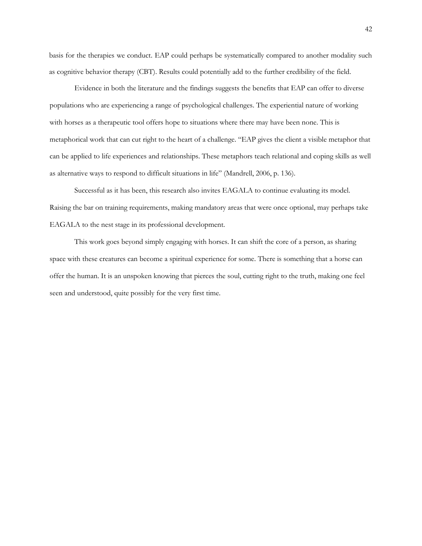basis for the therapies we conduct. EAP could perhaps be systematically compared to another modality such as cognitive behavior therapy (CBT). Results could potentially add to the further credibility of the field.

Evidence in both the literature and the findings suggests the benefits that EAP can offer to diverse populations who are experiencing a range of psychological challenges. The experiential nature of working with horses as a therapeutic tool offers hope to situations where there may have been none. This is metaphorical work that can cut right to the heart of a challenge. "EAP gives the client a visible metaphor that can be applied to life experiences and relationships. These metaphors teach relational and coping skills as well as alternative ways to respond to difficult situations in life" (Mandrell, 2006, p. 136).

Successful as it has been, this research also invites EAGALA to continue evaluating its model. Raising the bar on training requirements, making mandatory areas that were once optional, may perhaps take EAGALA to the nest stage in its professional development.

This work goes beyond simply engaging with horses. It can shift the core of a person, as sharing space with these creatures can become a spiritual experience for some. There is something that a horse can offer the human. It is an unspoken knowing that pierces the soul, cutting right to the truth, making one feel seen and understood, quite possibly for the very first time.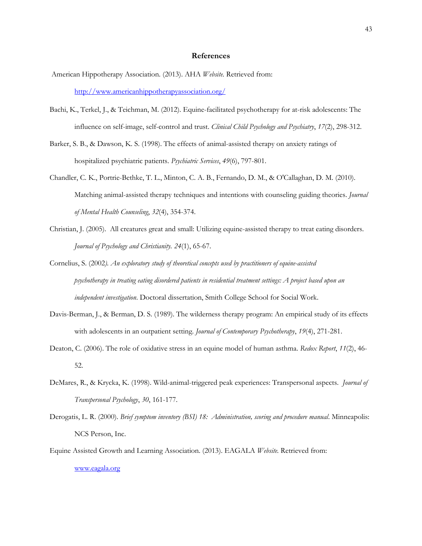#### **References**

- <span id="page-49-0"></span>American Hippotherapy Association. (2013). AHA *Website.* Retrieved from: <http://www.americanhippotherapyassociation.org/>
- Bachi, K., Terkel, J., & Teichman, M. (2012). Equine-facilitated psychotherapy for at-risk adolescents: The influence on self-image, self-control and trust. *Clinical Child Psychology and Psychiatry*, *17*(2), 298-312.
- Barker, S. B., & Dawson, K. S. (1998). The effects of animal-assisted therapy on anxiety ratings of hospitalized psychiatric patients. *Psychiatric Services*, *49*(6), 797-801.
- Chandler, C. K., Portrie-Bethke, T. L., Minton, C. A. B., Fernando, D. M., & O'Callaghan, D. M. (2010). Matching animal-assisted therapy techniques and intentions with counseling guiding theories. *Journal of Mental Health Counseling*, *32*(4), 354-374.
- Christian, J. (2005). All creatures great and small: Utilizing equine-assisted therapy to treat eating disorders. *Journal of Psychology and Christianity. 24*(1), 65-67.
- Cornelius, S. (2002*). An exploratory study of theoretical concepts used by practitioners of equine-assisted psychotherapy in treating eating disordered patients in residential treatment settings: A project based upon an independent investigation*. Doctoral dissertation, Smith College School for Social Work.
- Davis-Berman, J., & Berman, D. S. (1989). The wilderness therapy program: An empirical study of its effects with adolescents in an outpatient setting. *Journal of Contemporary Psychotherapy*, *19*(4), 271-281.
- Deaton, C. (2006). The role of oxidative stress in an equine model of human asthma. *Redox Report*, *11*(2), 46- 52.
- DeMares, R., & Krycka, K. (1998). Wild-animal-triggered peak experiences: Transpersonal aspects. *Journal of Transpersonal Psychology*, *30*, 161-177.
- Derogatis, L. R. (2000). *Brief symptom inventory (BSI) 18: Administration, scoring and procedure manual*. Minneapolis: NCS Person, Inc.
- Equine Assisted Growth and Learning Association. (2013). EAGALA *Website.* Retrieved from:

[www.eagala.org](http://www.eagala.org/)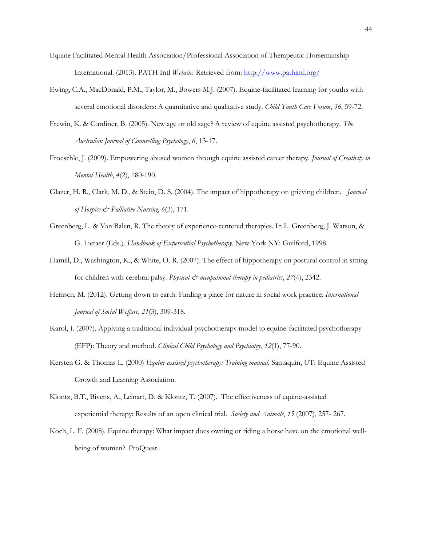- Equine Facilitated Mental Health Association/Professional Association of Therapeutic Horsemanship International. (2013). PATH Intl *Website.* Retrieved from:<http://www.pathintl.org/>
- Ewing, C.A., MacDonald, P.M., Taylor, M., Bowers M.J. (2007). Equine-facilitated learning for youths with several emotional disorders: A quantitative and qualitative study. *Child Youth Care Forum*, *36*, 59-72.
- Frewin, K. & Gardiner, B. (2005). New age or old sage? A review of equine assisted psychotherapy. *The Australian Journal of Counselling Psychology*, *6*, 13-17.
- Froeschle, J. (2009). Empowering abused women through equine assisted career therapy. *Journal of Creativity in Mental Health*, *4*(2), 180-190.
- Glazer, H. R., Clark, M. D., & Stein, D. S. (2004). The impact of hippotherapy on grieving children. *Journal of Hospice & Palliative Nursing*, *6*(3), 171.
- Greenberg, L. & Van Balen, R. The theory of experience-centered therapies. In L. Greenberg, J. Watson, & G. Lietaer (Eds.). *Handbook of Experiential Psychotherapy*. New York NY: Guilford, 1998.
- Hamill, D., Washington, K., & White, O. R. (2007). The effect of hippotherapy on postural control in sitting for children with cerebral palsy. *Physical & occupational therapy in pediatrics*, 27(4), 2342.
- Heinsch, M. (2012). Getting down to earth: Finding a place for nature in social work practice. *International Journal of Social Welfare*, *21*(3), 309-318.
- Karol, J. (2007). Applying a traditional individual psychotherapy model to equine-facilitated psychotherapy (EFP): Theory and method. *Clinical Child Psychology and Psychiatry*, *12*(1), 77-90.
- Kersten G. & Thomas L. (2000) *Equine assisted psychotherapy: Training manual*. Santaquin, UT: Equine Assisted Growth and Learning Association.
- Klontz, B.T., Bivens, A., Leinart, D. & Klontz, T. (2007). The effectiveness of equine-assisted experiential therapy: Results of an open clinical trial. *Society and Animals*, *15* (2007), 257- 267.
- Koch, L. F. (2008). Equine therapy: What impact does owning or riding a horse have on the emotional wellbeing of women?. ProQuest.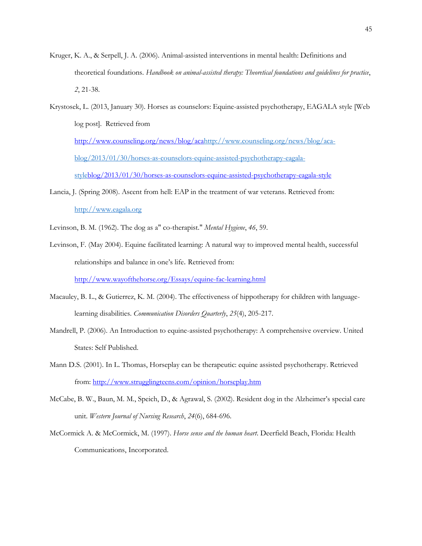- Kruger, K. A., & Serpell, J. A. (2006). Animal-assisted interventions in mental health: Definitions and theoretical foundations. *Handbook on animal-assisted therapy: Theoretical foundations and guidelines for practice*, *2*, 21-38.
- Krystosek, L. (2013, January 30). Horses as counselors: Equine-assisted psychotherapy, EAGALA style [Web log post]. Retrieved fro[m](http://www.counseling.org/news/blog/aca-blog/2013/01/30/horses-as-counselors-equine-assisted-psychotherapy-eagala-style) [http://www.counseling.org/news/blog/acahttp://www.counseling.org/news/blog/aca](http://www.counseling.org/news/blog/aca-blog/2013/01/30/horses-as-counselors-equine-assisted-psychotherapy-eagala-style)[blog/2013/01/30/horses-as-counselors-equine-assisted-psychotherapy-eagala-](http://www.counseling.org/news/blog/aca-blog/2013/01/30/horses-as-counselors-equine-assisted-psychotherapy-eagala-style)

[styleblog/2013/01/30/horses-as-counselors-equine-assisted-psychotherapy-eagala-style](http://www.counseling.org/news/blog/aca-blog/2013/01/30/horses-as-counselors-equine-assisted-psychotherapy-eagala-style)

- Lancia, J. (Spring 2008). Ascent from hell: EAP in the treatment of war veterans. Retrieved from: [http://www.eagala.org](http://www.eagala.org/)
- Levinson, B. M. (1962). The dog as a" co-therapist." *Mental Hygiene*, *46*, 59.
- Levinson, F. (May 2004). Equine facilitated learning: A natural way to improved mental health, successful relationships and balance in one's life. Retrieved from: <http://www.wayofthehorse.org/Essays/equine-fac-learning.html>
- Macauley, B. L., & Gutierrez, K. M. (2004). The effectiveness of hippotherapy for children with languagelearning disabilities. *Communication Disorders Quarterly*, *25*(4), 205-217.
- Mandrell, P. (2006). An Introduction to equine-assisted psychotherapy: A comprehensive overview. United States: Self Published.
- Mann D.S. (2001). In L. Thomas, Horseplay can be therapeutic: equine assisted psychotherapy. Retrieved from:<http://www.strugglingteens.com/opinion/horseplay.htm>
- McCabe, B. W., Baun, M. M., Speich, D., & Agrawal, S. (2002). Resident dog in the Alzheimer's special care unit. *Western Journal of Nursing Research*, *24*(6), 684-696.
- McCormick A. & McCormick, M. (1997). *Horse sense and the human heart*. Deerfield Beach, Florida: Health Communications, Incorporated.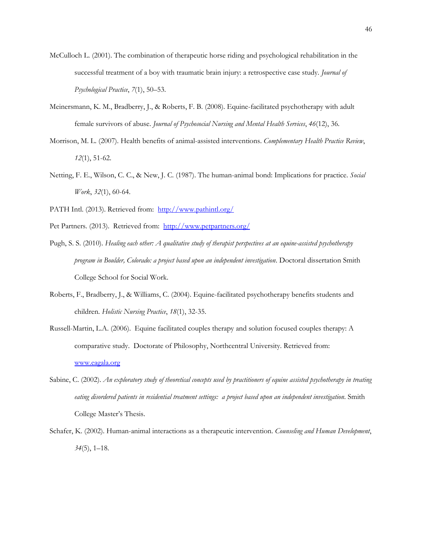- McCulloch L. (2001). The combination of therapeutic horse riding and psychological rehabilitation in the successful treatment of a boy with traumatic brain injury: a retrospective case study. *Journal of Psychological Practice*, *7*(1), 50–53.
- Meinersmann, K. M., Bradberry, J., & Roberts, F. B. (2008). Equine-facilitated psychotherapy with adult female survivors of abuse. *Journal of Psychosocial Nursing and Mental Health Services*, *46*(12), 36.
- Morrison, M. L. (2007). Health benefits of animal-assisted interventions. *Complementary Health Practice Review*, *12*(1), 51-62.
- Netting, F. E., Wilson, C. C., & New, J. C. (1987). The human-animal bond: Implications for practice. *Social Work*, *32*(1), 60-64.
- PATH Intl. (2013). Retrieved from:<http://www.pathintl.org/>
- Pet Partners. (2013). Retrieved from: <http://www.petpartners.org/>
- Pugh, S. S. (2010). *Healing each other: A qualitative study of therapist perspectives at an equine-assisted psychotherapy program in Boulder, Colorado: a project based upon an independent investigation*. Doctoral dissertation Smith College School for Social Work.
- Roberts, F., Bradberry, J., & Williams, C. (2004). Equine-facilitated psychotherapy benefits students and children. *Holistic Nursing Practice*, *18*(1), 32-35.
- Russell-Martin, L.A. (2006). Equine facilitated couples therapy and solution focused couples therapy: A comparative study. Doctorate of Philosophy, Northcentral University. Retrieved from: [www.eagala.org](http://www.eagala.org/)
- Sabine, C. (2002). *An exploratory study of theoretical concepts used by practitioners of equine assisted psychotherapy in treating eating disordered patients in residential treatment settings: a project based upon an independent investigation*. Smith College Master's Thesis.
- Schafer, K. (2002). Human-animal interactions as a therapeutic intervention. *Counseling and Human Development*, *34*(5), 1–18.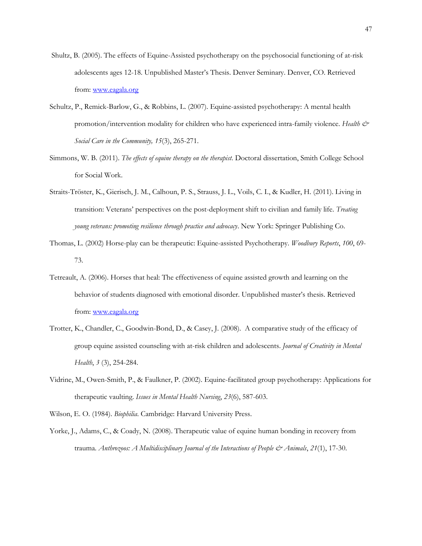- Shultz, B. (2005). The effects of Equine-Assisted psychotherapy on the psychosocial functioning of at-risk adolescents ages 12-18. Unpublished Master's Thesis. Denver Seminary. Denver, CO. Retrieved from: [www.eagala.org](http://www.eagala.org/)
- Schultz, P., Remick-Barlow, G., & Robbins, L. (2007). Equine-assisted psychotherapy: A mental health promotion/intervention modality for children who have experienced intra-family violence. Health & *Social Care in the Community, 15*(3), 265-271.
- Simmons, W. B. (2011). *The effects of equine therapy on the therapist*. Doctoral dissertation, Smith College School for Social Work.
- Straits-Tröster, K., Gierisch, J. M., Calhoun, P. S., Strauss, J. L., Voils, C. I., & Kudler, H. (2011). Living in transition: Veterans' perspectives on the post-deployment shift to civilian and family life. *Treating young veterans: promoting resilience through practice and advocacy*. New York: Springer Publishing Co.
- Thomas, L. (2002) Horse-play can be therapeutic: Equine-assisted Psychotherapy. *Woodbury Reports*, *100*, 69- 73.
- Tetreault, A. (2006). Horses that heal: The effectiveness of equine assisted growth and learning on the behavior of students diagnosed with emotional disorder. Unpublished master's thesis. Retrieved from: [www.eagala.org](http://www.eagala.org/)
- Trotter, K., Chandler, C., Goodwin-Bond, D., & Casey, J. (2008). A comparative study of the efficacy of group equine assisted counseling with at-risk children and adolescents. *Journal of Creativity in Mental Health*, *3* (3), 254-284.
- Vidrine, M., Owen-Smith, P., & Faulkner, P. (2002). Equine-facilitated group psychotherapy: Applications for therapeutic vaulting. *Issues in Mental Health Nursing*, *23*(6), 587-603.
- Wilson, E. O. (1984). *Biophilia*. Cambridge: Harvard University Press.
- Yorke, J., Adams, C., & Coady, N. (2008). Therapeutic value of equine human bonding in recovery from trauma. *Anthrozoos: A Multidisciplinary Journal of the Interactions of People & Animals*, *21*(1), 17-30.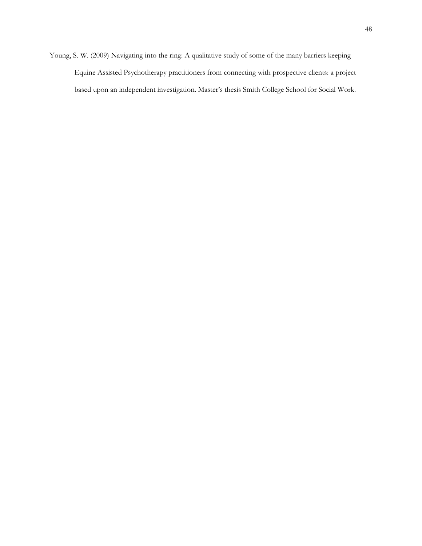Young, S. W. (2009) Navigating into the ring: A qualitative study of some of the many barriers keeping Equine Assisted Psychotherapy practitioners from connecting with prospective clients: a project based upon an independent investigation. Master's thesis Smith College School for Social Work.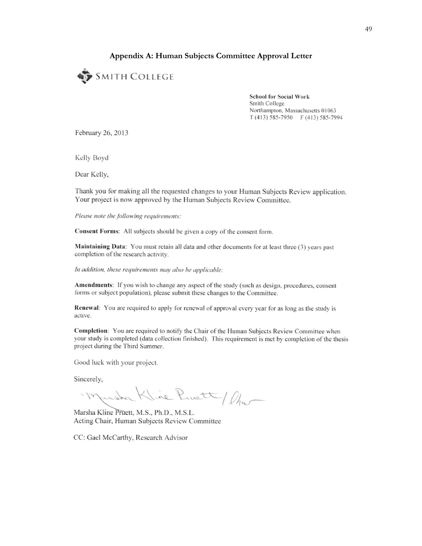# **Appendix A: Human Subjects Committee Approval Letter**

<span id="page-55-0"></span>

**School for Social Work** Smith College Northampton, Massachusetts 01063 T(413) 585-7950 F(413) 585-7994

February 26, 2013

Kelly Boyd

Dear Kelly,

Thank you for making all the requested changes to your Human Subjects Review application. Your project is now approved by the Human Subjects Review Committee.

Please note the following requirements:

Consent Forms: All subjects should be given a copy of the consent form.

Maintaining Data: You must retain all data and other documents for at least three (3) years past completion of the research activity.

In addition, these requirements may also be applicable:

**Amendments:** If you wish to change any aspect of the study (such as design, procedures, consent forms or subject population), please submit these changes to the Committee.

Renewal: You are required to apply for renewal of approval every year for as long as the study is active.

Completion: You are required to notify the Chair of the Human Subjects Review Committee when your study is completed (data collection finished). This requirement is met by completion of the thesis project during the Third Summer.

Good luck with your project.

Sincerely,

Kline Pruett/ Chur Marsha

Marsha Kline Pruett, M.S., Ph.D., M.S.L. Acting Chair, Human Subjects Review Committee

CC: Gael McCarthy, Research Advisor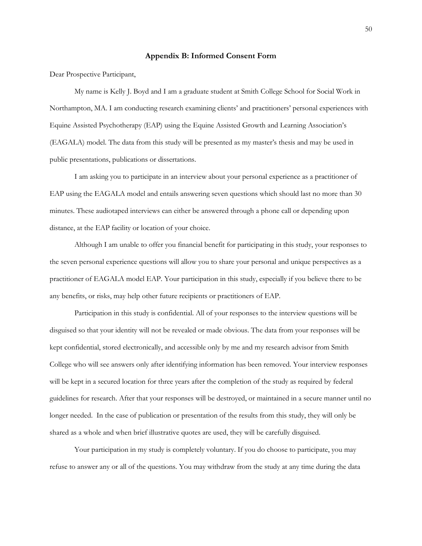#### **Appendix B: Informed Consent Form**

<span id="page-56-0"></span>Dear Prospective Participant,

My name is Kelly J. Boyd and I am a graduate student at Smith College School for Social Work in Northampton, MA. I am conducting research examining clients' and practitioners' personal experiences with Equine Assisted Psychotherapy (EAP) using the Equine Assisted Growth and Learning Association's (EAGALA) model. The data from this study will be presented as my master's thesis and may be used in public presentations, publications or dissertations.

I am asking you to participate in an interview about your personal experience as a practitioner of EAP using the EAGALA model and entails answering seven questions which should last no more than 30 minutes. These audiotaped interviews can either be answered through a phone call or depending upon distance, at the EAP facility or location of your choice.

Although I am unable to offer you financial benefit for participating in this study, your responses to the seven personal experience questions will allow you to share your personal and unique perspectives as a practitioner of EAGALA model EAP. Your participation in this study, especially if you believe there to be any benefits, or risks, may help other future recipients or practitioners of EAP.

Participation in this study is confidential. All of your responses to the interview questions will be disguised so that your identity will not be revealed or made obvious. The data from your responses will be kept confidential, stored electronically, and accessible only by me and my research advisor from Smith College who will see answers only after identifying information has been removed. Your interview responses will be kept in a secured location for three years after the completion of the study as required by federal guidelines for research. After that your responses will be destroyed, or maintained in a secure manner until no longer needed. In the case of publication or presentation of the results from this study, they will only be shared as a whole and when brief illustrative quotes are used, they will be carefully disguised.

Your participation in my study is completely voluntary. If you do choose to participate, you may refuse to answer any or all of the questions. You may withdraw from the study at any time during the data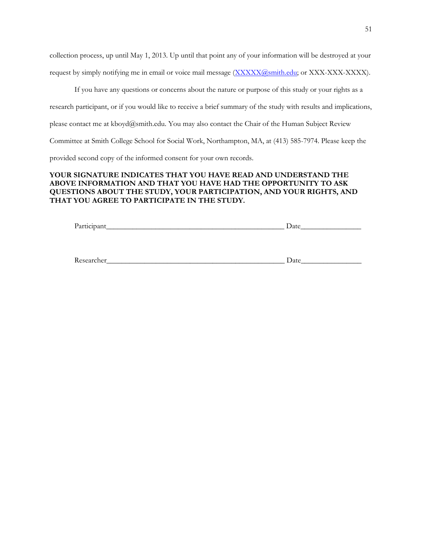collection process, up until May 1, 2013. Up until that point any of your information will be destroyed at your request by simply notifying me in email or voice mail message (XXXXX@smith.edu; or XXX-XXX-XXXX).

If you have any questions or concerns about the nature or purpose of this study or your rights as a research participant, or if you would like to receive a brief summary of the study with results and implications, please contact me at kboyd@smith.edu. You may also contact the Chair of the Human Subject Review Committee at Smith College School for Social Work, Northampton, MA, at (413) 585-7974. Please keep the provided second copy of the informed consent for your own records.

# **YOUR SIGNATURE INDICATES THAT YOU HAVE READ AND UNDERSTAND THE ABOVE INFORMATION AND THAT YOU HAVE HAD THE OPPORTUNITY TO ASK QUESTIONS ABOUT THE STUDY, YOUR PARTICIPATION, AND YOUR RIGHTS, AND THAT YOU AGREE TO PARTICIPATE IN THE STUDY.**

| $\mathbf{p}_a$<br>. | uc<br>-- |
|---------------------|----------|
|                     |          |

| <sup>n</sup><br>- Kr.<br>21 I V<br>11 U.L<br>$\sim$ | $\sim$ $ -$<br>$\boldsymbol{\mathfrak{a}}$<br>-- |
|-----------------------------------------------------|--------------------------------------------------|
|-----------------------------------------------------|--------------------------------------------------|